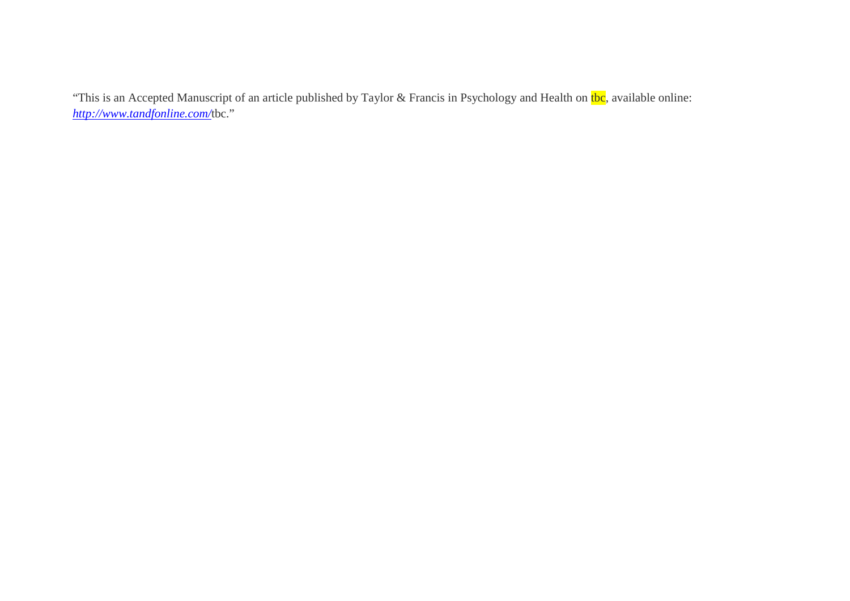"This is an Accepted Manuscript of an article published by Taylor & Francis in Psychology and Health on tbc, available online: *<http://www.tandfonline.com/>*tbc."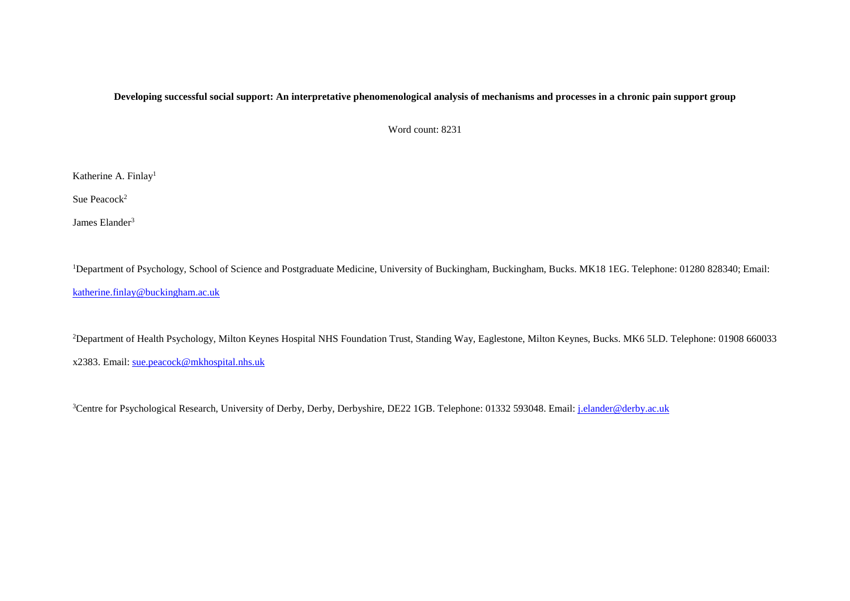#### **Developing successful social support: An interpretative phenomenological analysis of mechanisms and processes in a chronic pain support group**

Word count: 8231

Katherine A. Finlay<sup>1</sup>

Sue Peacock<sup>2</sup>

James Elander<sup>3</sup>

<sup>1</sup>Department of Psychology, School of Science and Postgraduate Medicine, University of Buckingham, Buckingham, Bucks. MK18 1EG. Telephone: 01280 828340; Email: [katherine.finlay@buckingham.ac.uk](mailto:katherine.finlay@buckingham.ac.uk)

<sup>2</sup>Department of Health Psychology, Milton Keynes Hospital NHS Foundation Trust, Standing Way, Eaglestone, Milton Keynes, Bucks. MK6 5LD. Telephone: 01908 660033 x2383. Email: [sue.peacock@mkhospital.nhs.uk](mailto:sue.peacock@mkhospital.nhs.uk)

<sup>3</sup>Centre for Psychological Research, University of Derby, Derbyshire, DE22 1GB. Telephone: 01332 593048. Email: [j.elander@derby.ac.uk](mailto:j.elander@derby.ac.uk)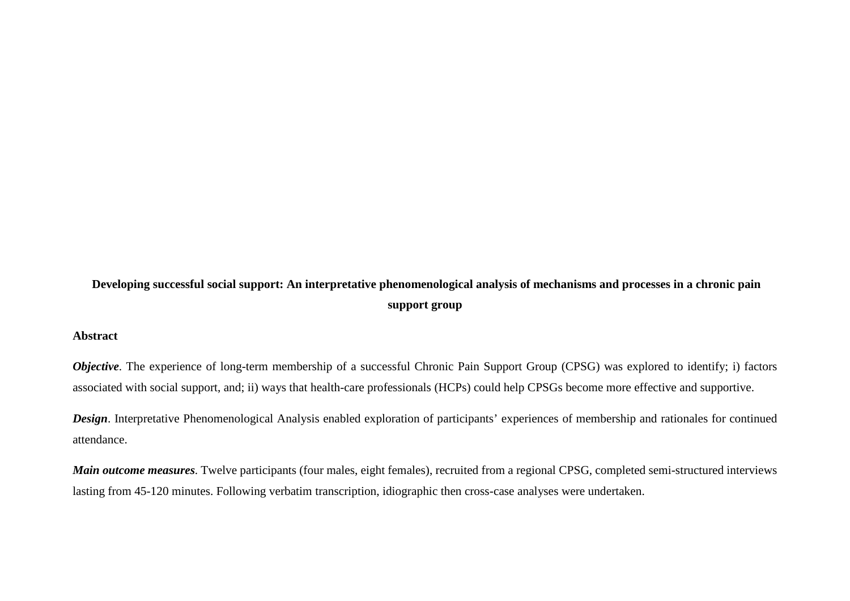# **Developing successful social support: An interpretative phenomenological analysis of mechanisms and processes in a chronic pain support group**

## **Abstract**

*Objective*. The experience of long-term membership of a successful Chronic Pain Support Group (CPSG) was explored to identify; i) factors associated with social support, and; ii) ways that health-care professionals (HCPs) could help CPSGs become more effective and supportive.

*Design*. Interpretative Phenomenological Analysis enabled exploration of participants' experiences of membership and rationales for continued attendance.

*Main outcome measures*. Twelve participants (four males, eight females), recruited from a regional CPSG, completed semi-structured interviews lasting from 45-120 minutes. Following verbatim transcription, idiographic then cross-case analyses were undertaken.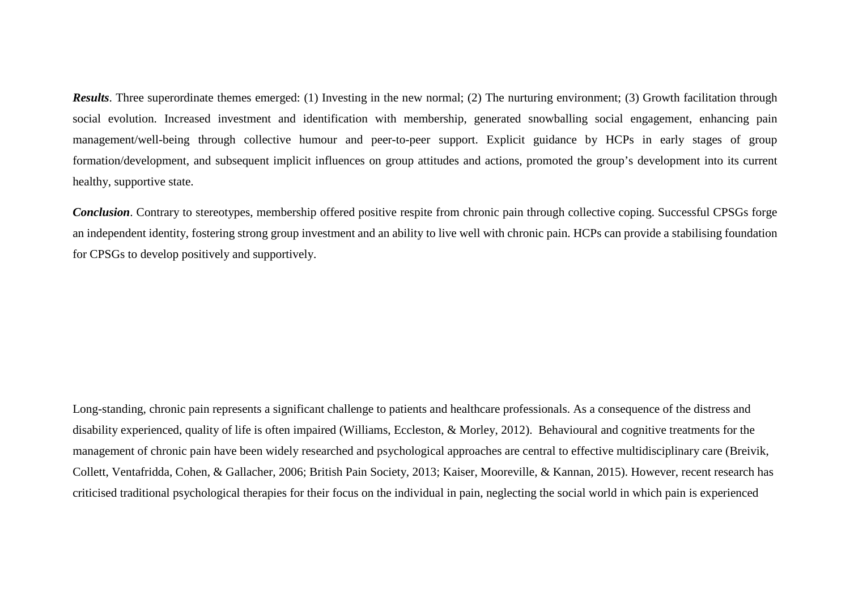*Results*. Three superordinate themes emerged: (1) Investing in the new normal; (2) The nurturing environment; (3) Growth facilitation through social evolution. Increased investment and identification with membership, generated snowballing social engagement, enhancing pain management/well-being through collective humour and peer-to-peer support. Explicit guidance by HCPs in early stages of group formation/development, and subsequent implicit influences on group attitudes and actions, promoted the group's development into its current healthy, supportive state.

*Conclusion*. Contrary to stereotypes, membership offered positive respite from chronic pain through collective coping. Successful CPSGs forge an independent identity, fostering strong group investment and an ability to live well with chronic pain. HCPs can provide a stabilising foundation for CPSGs to develop positively and supportively.

Long-standing, chronic pain represents a significant challenge to patients and healthcare professionals. As a consequence of the distress and disability experienced, quality of life is often impaired (Williams, Eccleston, & Morley, 2012). Behavioural and cognitive treatments for the management of chronic pain have been widely researched and psychological approaches are central to effective multidisciplinary care (Breivik, Collett, Ventafridda, Cohen, & Gallacher, 2006; British Pain Society, 2013; Kaiser, Mooreville, & Kannan, 2015). However, recent research has criticised traditional psychological therapies for their focus on the individual in pain, neglecting the social world in which pain is experienced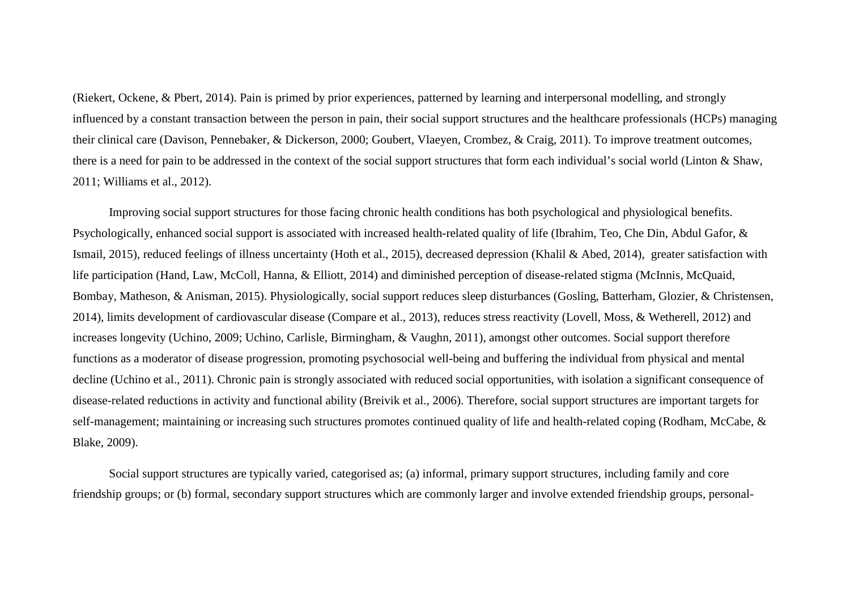(Riekert, Ockene, & Pbert, 2014). Pain is primed by prior experiences, patterned by learning and interpersonal modelling, and strongly influenced by a constant transaction between the person in pain, their social support structures and the healthcare professionals (HCPs) managing their clinical care (Davison, Pennebaker, & Dickerson, 2000; Goubert, Vlaeyen, Crombez, & Craig, 2011). To improve treatment outcomes, there is a need for pain to be addressed in the context of the social support structures that form each individual's social world (Linton & Shaw, 2011; Williams et al., 2012).

Improving social support structures for those facing chronic health conditions has both psychological and physiological benefits. Psychologically, enhanced social support is associated with increased health-related quality of life (Ibrahim, Teo, Che Din, Abdul Gafor, & Ismail, 2015), reduced feelings of illness uncertainty (Hoth et al., 2015), decreased depression (Khalil & Abed, 2014), greater satisfaction with life participation (Hand, Law, McColl, Hanna, & Elliott, 2014) and diminished perception of disease-related stigma (McInnis, McQuaid, Bombay, Matheson, & Anisman, 2015). Physiologically, social support reduces sleep disturbances (Gosling, Batterham, Glozier, & Christensen, 2014), limits development of cardiovascular disease (Compare et al., 2013), reduces stress reactivity (Lovell, Moss, & Wetherell, 2012) and increases longevity (Uchino, 2009; Uchino, Carlisle, Birmingham, & Vaughn, 2011), amongst other outcomes. Social support therefore functions as a moderator of disease progression, promoting psychosocial well-being and buffering the individual from physical and mental decline (Uchino et al., 2011). Chronic pain is strongly associated with reduced social opportunities, with isolation a significant consequence of disease-related reductions in activity and functional ability (Breivik et al., 2006). Therefore, social support structures are important targets for self-management; maintaining or increasing such structures promotes continued quality of life and health-related coping (Rodham, McCabe, & Blake, 2009).

Social support structures are typically varied, categorised as; (a) informal, primary support structures, including family and core friendship groups; or (b) formal, secondary support structures which are commonly larger and involve extended friendship groups, personal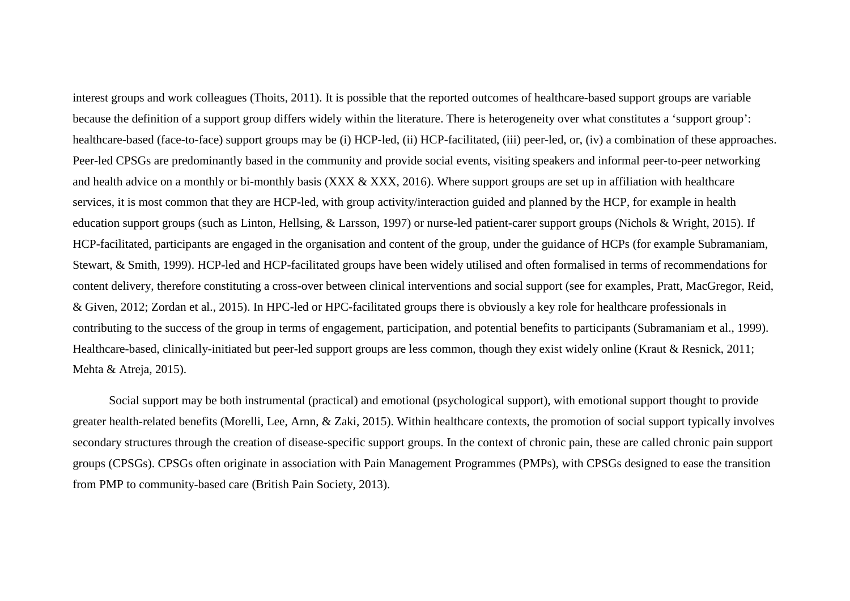interest groups and work colleagues (Thoits, 2011). It is possible that the reported outcomes of healthcare-based support groups are variable because the definition of a support group differs widely within the literature. There is heterogeneity over what constitutes a 'support group': healthcare-based (face-to-face) support groups may be (i) HCP-led, (ii) HCP-facilitated, (iii) peer-led, or, (iv) a combination of these approaches. Peer-led CPSGs are predominantly based in the community and provide social events, visiting speakers and informal peer-to-peer networking and health advice on a monthly or bi-monthly basis (XXX & XXX, 2016). Where support groups are set up in affiliation with healthcare services, it is most common that they are HCP-led, with group activity/interaction guided and planned by the HCP, for example in health education support groups (such as Linton, Hellsing, & Larsson, 1997) or nurse-led patient-carer support groups (Nichols & Wright, 2015). If HCP-facilitated, participants are engaged in the organisation and content of the group, under the guidance of HCPs (for example Subramaniam, Stewart, & Smith, 1999). HCP-led and HCP-facilitated groups have been widely utilised and often formalised in terms of recommendations for content delivery, therefore constituting a cross-over between clinical interventions and social support (see for examples, Pratt, MacGregor, Reid, & Given, 2012; Zordan et al., 2015). In HPC-led or HPC-facilitated groups there is obviously a key role for healthcare professionals in contributing to the success of the group in terms of engagement, participation, and potential benefits to participants (Subramaniam et al., 1999). Healthcare-based, clinically-initiated but peer-led support groups are less common, though they exist widely online (Kraut & Resnick, 2011; Mehta & Atreja, 2015).

Social support may be both instrumental (practical) and emotional (psychological support), with emotional support thought to provide greater health-related benefits (Morelli, Lee, Arnn, & Zaki, 2015). Within healthcare contexts, the promotion of social support typically involves secondary structures through the creation of disease-specific support groups. In the context of chronic pain, these are called chronic pain support groups (CPSGs). CPSGs often originate in association with Pain Management Programmes (PMPs), with CPSGs designed to ease the transition from PMP to community-based care (British Pain Society, 2013).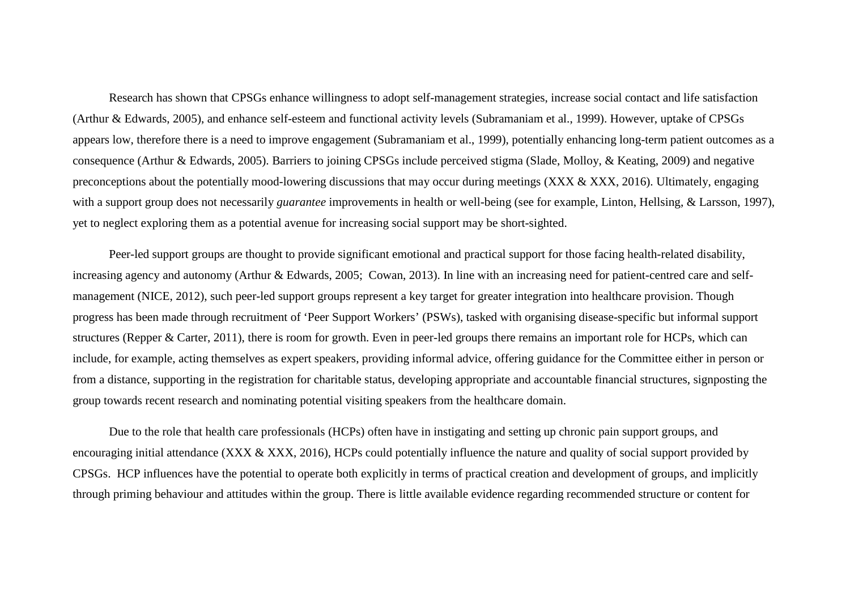Research has shown that CPSGs enhance willingness to adopt self-management strategies, increase social contact and life satisfaction (Arthur & Edwards, 2005), and enhance self-esteem and functional activity levels (Subramaniam et al., 1999). However, uptake of CPSGs appears low, therefore there is a need to improve engagement (Subramaniam et al., 1999), potentially enhancing long-term patient outcomes as a consequence (Arthur & Edwards, 2005). Barriers to joining CPSGs include perceived stigma (Slade, Molloy, & Keating, 2009) and negative preconceptions about the potentially mood-lowering discussions that may occur during meetings (XXX & XXX, 2016). Ultimately, engaging with a support group does not necessarily *guarantee* improvements in health or well-being (see for example, Linton, Hellsing, & Larsson, 1997), yet to neglect exploring them as a potential avenue for increasing social support may be short-sighted.

Peer-led support groups are thought to provide significant emotional and practical support for those facing health-related disability, increasing agency and autonomy (Arthur & Edwards, 2005; Cowan, 2013). In line with an increasing need for patient-centred care and selfmanagement (NICE, 2012), such peer-led support groups represent a key target for greater integration into healthcare provision. Though progress has been made through recruitment of 'Peer Support Workers' (PSWs), tasked with organising disease-specific but informal support structures (Repper & Carter, 2011), there is room for growth. Even in peer-led groups there remains an important role for HCPs, which can include, for example, acting themselves as expert speakers, providing informal advice, offering guidance for the Committee either in person or from a distance, supporting in the registration for charitable status, developing appropriate and accountable financial structures, signposting the group towards recent research and nominating potential visiting speakers from the healthcare domain.

Due to the role that health care professionals (HCPs) often have in instigating and setting up chronic pain support groups, and encouraging initial attendance (XXX & XXX, 2016), HCPs could potentially influence the nature and quality of social support provided by CPSGs. HCP influences have the potential to operate both explicitly in terms of practical creation and development of groups, and implicitly through priming behaviour and attitudes within the group. There is little available evidence regarding recommended structure or content for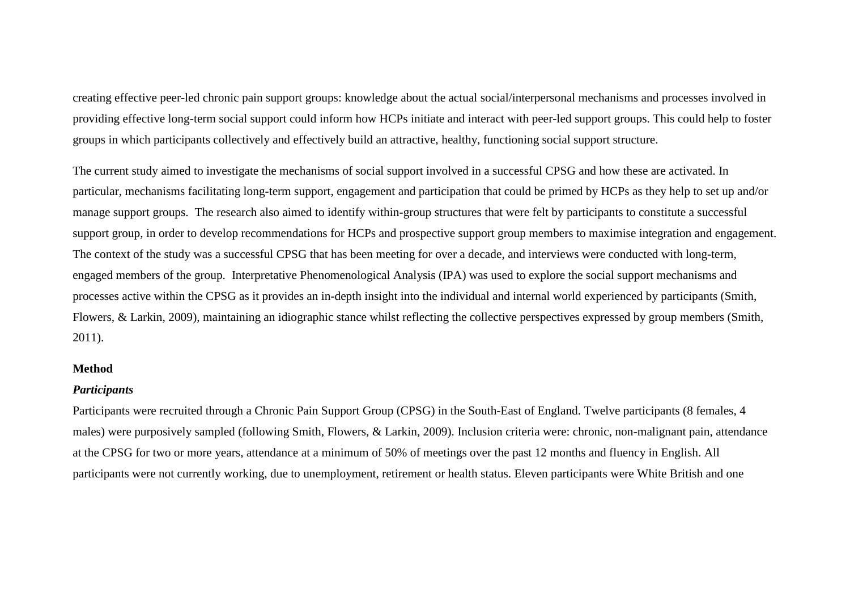creating effective peer-led chronic pain support groups: knowledge about the actual social/interpersonal mechanisms and processes involved in providing effective long-term social support could inform how HCPs initiate and interact with peer-led support groups. This could help to foster groups in which participants collectively and effectively build an attractive, healthy, functioning social support structure.

The current study aimed to investigate the mechanisms of social support involved in a successful CPSG and how these are activated. In particular, mechanisms facilitating long-term support, engagement and participation that could be primed by HCPs as they help to set up and/or manage support groups. The research also aimed to identify within-group structures that were felt by participants to constitute a successful support group, in order to develop recommendations for HCPs and prospective support group members to maximise integration and engagement. The context of the study was a successful CPSG that has been meeting for over a decade, and interviews were conducted with long-term, engaged members of the group. Interpretative Phenomenological Analysis (IPA) was used to explore the social support mechanisms and processes active within the CPSG as it provides an in-depth insight into the individual and internal world experienced by participants (Smith, Flowers, & Larkin, 2009), maintaining an idiographic stance whilst reflecting the collective perspectives expressed by group members (Smith, 2011).

#### **Method**

#### *Participants*

Participants were recruited through a Chronic Pain Support Group (CPSG) in the South-East of England. Twelve participants (8 females, 4 males) were purposively sampled (following Smith, Flowers, & Larkin, 2009). Inclusion criteria were: chronic, non-malignant pain, attendance at the CPSG for two or more years, attendance at a minimum of 50% of meetings over the past 12 months and fluency in English. All participants were not currently working, due to unemployment, retirement or health status. Eleven participants were White British and one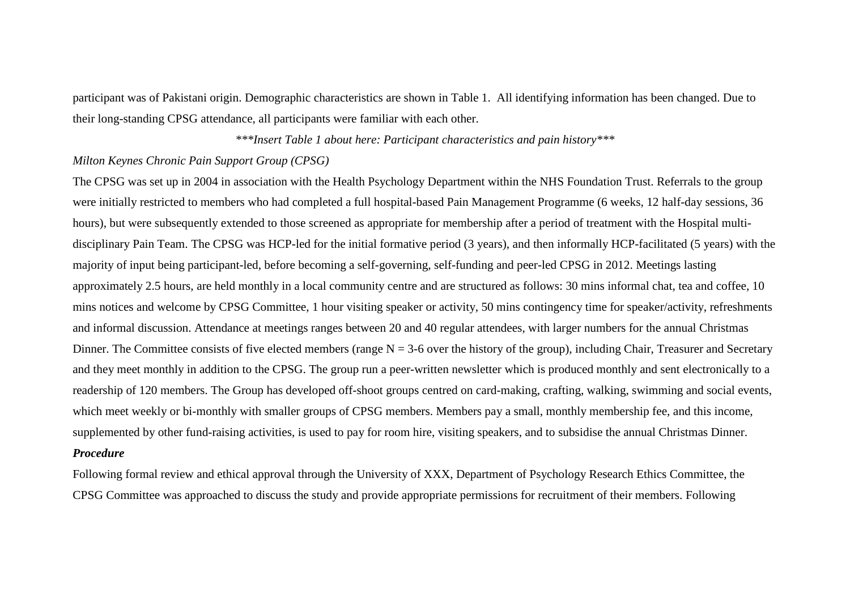participant was of Pakistani origin. Demographic characteristics are shown in Table 1. All identifying information has been changed. Due to their long-standing CPSG attendance, all participants were familiar with each other.

## *\*\*\*Insert Table 1 about here: Participant characteristics and pain history\*\*\**

#### *Milton Keynes Chronic Pain Support Group (CPSG)*

The CPSG was set up in 2004 in association with the Health Psychology Department within the NHS Foundation Trust. Referrals to the group were initially restricted to members who had completed a full hospital-based Pain Management Programme (6 weeks, 12 half-day sessions, 36 hours), but were subsequently extended to those screened as appropriate for membership after a period of treatment with the Hospital multidisciplinary Pain Team. The CPSG was HCP-led for the initial formative period (3 years), and then informally HCP-facilitated (5 years) with the majority of input being participant-led, before becoming a self-governing, self-funding and peer-led CPSG in 2012. Meetings lasting approximately 2.5 hours, are held monthly in a local community centre and are structured as follows: 30 mins informal chat, tea and coffee, 10 mins notices and welcome by CPSG Committee, 1 hour visiting speaker or activity, 50 mins contingency time for speaker/activity, refreshments and informal discussion. Attendance at meetings ranges between 20 and 40 regular attendees, with larger numbers for the annual Christmas Dinner. The Committee consists of five elected members (range  $N = 3-6$  over the history of the group), including Chair, Treasurer and Secretary and they meet monthly in addition to the CPSG. The group run a peer-written newsletter which is produced monthly and sent electronically to a readership of 120 members. The Group has developed off-shoot groups centred on card-making, crafting, walking, swimming and social events, which meet weekly or bi-monthly with smaller groups of CPSG members. Members pay a small, monthly membership fee, and this income, supplemented by other fund-raising activities, is used to pay for room hire, visiting speakers, and to subsidise the annual Christmas Dinner. *Procedure*

Following formal review and ethical approval through the University of XXX, Department of Psychology Research Ethics Committee, the CPSG Committee was approached to discuss the study and provide appropriate permissions for recruitment of their members. Following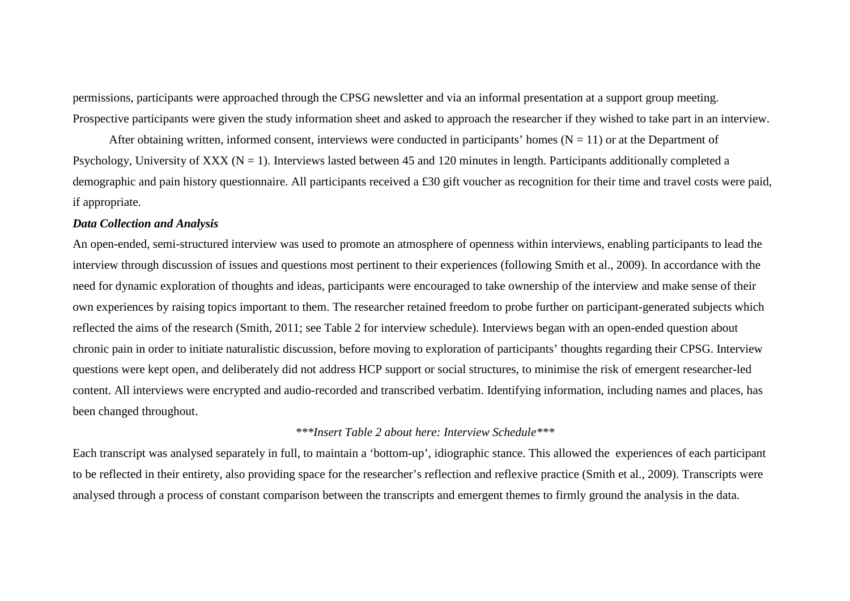permissions, participants were approached through the CPSG newsletter and via an informal presentation at a support group meeting. Prospective participants were given the study information sheet and asked to approach the researcher if they wished to take part in an interview.

After obtaining written, informed consent, interviews were conducted in participants' homes ( $N = 11$ ) or at the Department of Psychology, University of XXX ( $N = 1$ ). Interviews lasted between 45 and 120 minutes in length. Participants additionally completed a demographic and pain history questionnaire. All participants received a £30 gift voucher as recognition for their time and travel costs were paid, if appropriate.

#### *Data Collection and Analysis*

An open-ended, semi-structured interview was used to promote an atmosphere of openness within interviews, enabling participants to lead the interview through discussion of issues and questions most pertinent to their experiences (following Smith et al., 2009). In accordance with the need for dynamic exploration of thoughts and ideas, participants were encouraged to take ownership of the interview and make sense of their own experiences by raising topics important to them. The researcher retained freedom to probe further on participant-generated subjects which reflected the aims of the research (Smith, 2011; see Table 2 for interview schedule). Interviews began with an open-ended question about chronic pain in order to initiate naturalistic discussion, before moving to exploration of participants' thoughts regarding their CPSG. Interview questions were kept open, and deliberately did not address HCP support or social structures, to minimise the risk of emergent researcher-led content. All interviews were encrypted and audio-recorded and transcribed verbatim. Identifying information, including names and places, has been changed throughout.

## *\*\*\*Insert Table 2 about here: Interview Schedule\*\*\**

Each transcript was analysed separately in full, to maintain a 'bottom-up', idiographic stance. This allowed the experiences of each participant to be reflected in their entirety, also providing space for the researcher's reflection and reflexive practice (Smith et al., 2009). Transcripts were analysed through a process of constant comparison between the transcripts and emergent themes to firmly ground the analysis in the data.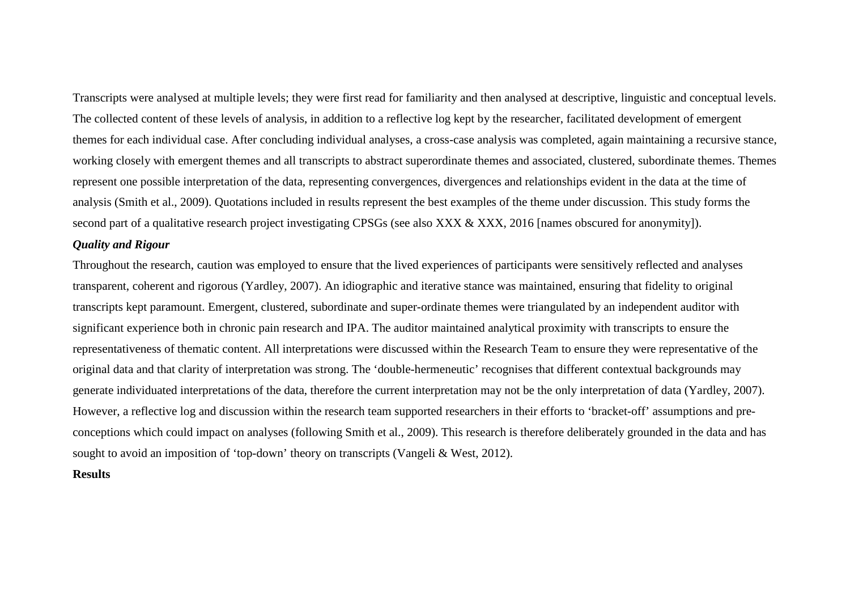Transcripts were analysed at multiple levels; they were first read for familiarity and then analysed at descriptive, linguistic and conceptual levels. The collected content of these levels of analysis, in addition to a reflective log kept by the researcher, facilitated development of emergent themes for each individual case. After concluding individual analyses, a cross-case analysis was completed, again maintaining a recursive stance, working closely with emergent themes and all transcripts to abstract superordinate themes and associated, clustered, subordinate themes. Themes represent one possible interpretation of the data, representing convergences, divergences and relationships evident in the data at the time of analysis (Smith et al., 2009). Quotations included in results represent the best examples of the theme under discussion. This study forms the second part of a qualitative research project investigating CPSGs (see also XXX & XXX, 2016 [names obscured for anonymity]).

#### *Quality and Rigour*

Throughout the research, caution was employed to ensure that the lived experiences of participants were sensitively reflected and analyses transparent, coherent and rigorous (Yardley, 2007). An idiographic and iterative stance was maintained, ensuring that fidelity to original transcripts kept paramount. Emergent, clustered, subordinate and super-ordinate themes were triangulated by an independent auditor with significant experience both in chronic pain research and IPA. The auditor maintained analytical proximity with transcripts to ensure the representativeness of thematic content. All interpretations were discussed within the Research Team to ensure they were representative of the original data and that clarity of interpretation was strong. The 'double-hermeneutic' recognises that different contextual backgrounds may generate individuated interpretations of the data, therefore the current interpretation may not be the only interpretation of data (Yardley, 2007). However, a reflective log and discussion within the research team supported researchers in their efforts to 'bracket-off' assumptions and preconceptions which could impact on analyses (following Smith et al., 2009). This research is therefore deliberately grounded in the data and has sought to avoid an imposition of 'top-down' theory on transcripts (Vangeli & West, 2012).

### **Results**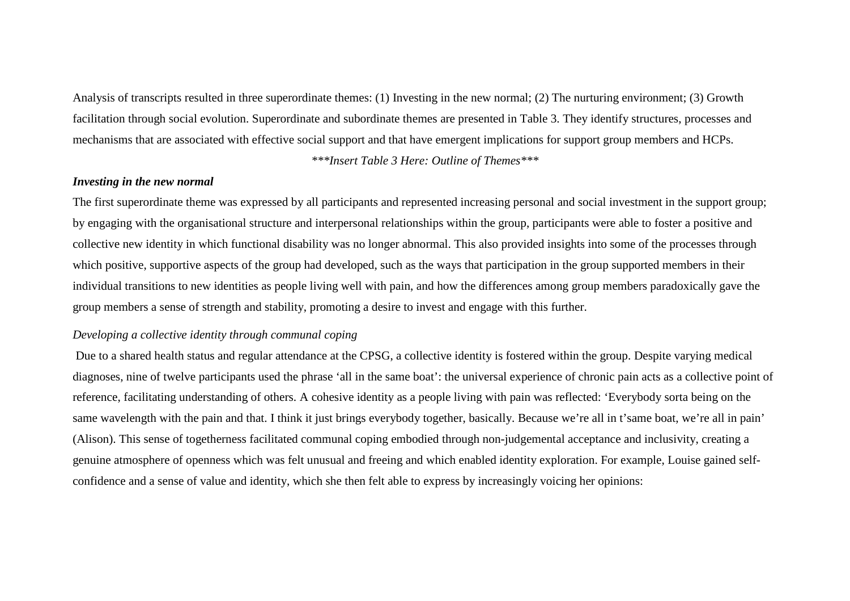Analysis of transcripts resulted in three superordinate themes: (1) Investing in the new normal; (2) The nurturing environment; (3) Growth facilitation through social evolution. Superordinate and subordinate themes are presented in Table 3. They identify structures, processes and mechanisms that are associated with effective social support and that have emergent implications for support group members and HCPs.

# *\*\*\*Insert Table 3 Here: Outline of Themes\*\*\**

## *Investing in the new normal*

The first superordinate theme was expressed by all participants and represented increasing personal and social investment in the support group; by engaging with the organisational structure and interpersonal relationships within the group, participants were able to foster a positive and collective new identity in which functional disability was no longer abnormal. This also provided insights into some of the processes through which positive, supportive aspects of the group had developed, such as the ways that participation in the group supported members in their individual transitions to new identities as people living well with pain, and how the differences among group members paradoxically gave the group members a sense of strength and stability, promoting a desire to invest and engage with this further.

## *Developing a collective identity through communal coping*

Due to a shared health status and regular attendance at the CPSG, a collective identity is fostered within the group. Despite varying medical diagnoses, nine of twelve participants used the phrase 'all in the same boat': the universal experience of chronic pain acts as a collective point of reference, facilitating understanding of others. A cohesive identity as a people living with pain was reflected: 'Everybody sorta being on the same wavelength with the pain and that. I think it just brings everybody together, basically. Because we're all in t'same boat, we're all in pain' (Alison). This sense of togetherness facilitated communal coping embodied through non-judgemental acceptance and inclusivity, creating a genuine atmosphere of openness which was felt unusual and freeing and which enabled identity exploration. For example, Louise gained selfconfidence and a sense of value and identity, which she then felt able to express by increasingly voicing her opinions: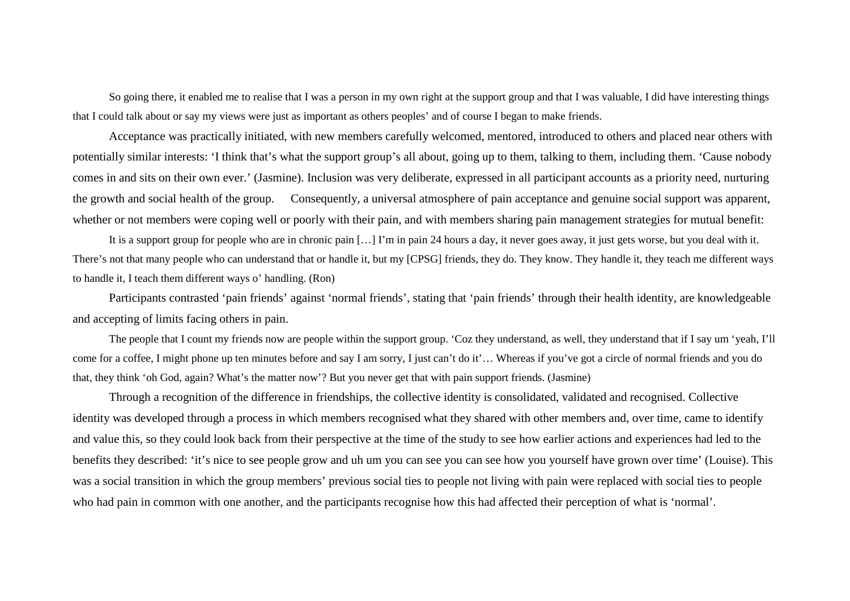So going there, it enabled me to realise that I was a person in my own right at the support group and that I was valuable. I did have interesting things that I could talk about or say my views were just as important as others peoples' and of course I began to make friends.

Acceptance was practically initiated, with new members carefully welcomed, mentored, introduced to others and placed near others with potentially similar interests: 'I think that's what the support group's all about, going up to them, talking to them, including them. 'Cause nobody comes in and sits on their own ever.' (Jasmine). Inclusion was very deliberate, expressed in all participant accounts as a priority need, nurturing the growth and social health of the group. Consequently, a universal atmosphere of pain acceptance and genuine social support was apparent, whether or not members were coping well or poorly with their pain, and with members sharing pain management strategies for mutual benefit:

It is a support group for people who are in chronic pain […] I'm in pain 24 hours a day, it never goes away, it just gets worse, but you deal with it. There's not that many people who can understand that or handle it, but my [CPSG] friends, they do. They know. They handle it, they teach me different ways to handle it, I teach them different ways o' handling. (Ron)

Participants contrasted 'pain friends' against 'normal friends', stating that 'pain friends' through their health identity, are knowledgeable and accepting of limits facing others in pain.

The people that I count my friends now are people within the support group. 'Coz they understand, as well, they understand that if I say um 'yeah, I'll come for a coffee, I might phone up ten minutes before and say I am sorry, I just can't do it'… Whereas if you've got a circle of normal friends and you do that, they think 'oh God, again? What's the matter now'? But you never get that with pain support friends. (Jasmine)

Through a recognition of the difference in friendships, the collective identity is consolidated, validated and recognised. Collective identity was developed through a process in which members recognised what they shared with other members and, over time, came to identify and value this, so they could look back from their perspective at the time of the study to see how earlier actions and experiences had led to the benefits they described: 'it's nice to see people grow and uh um you can see you can see how you yourself have grown over time' (Louise). This was a social transition in which the group members' previous social ties to people not living with pain were replaced with social ties to people who had pain in common with one another, and the participants recognise how this had affected their perception of what is 'normal'.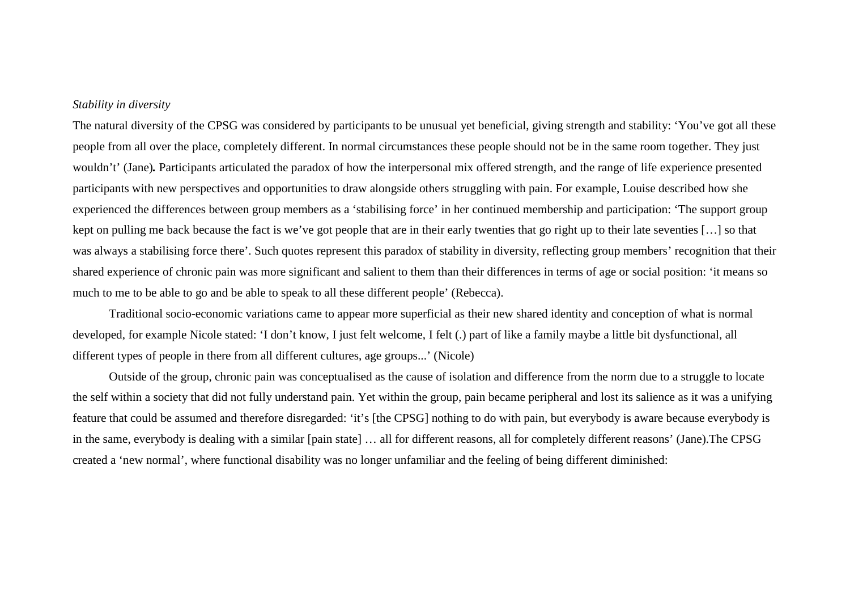#### *Stability in diversity*

The natural diversity of the CPSG was considered by participants to be unusual yet beneficial, giving strength and stability: 'You've got all these people from all over the place, completely different. In normal circumstances these people should not be in the same room together. They just wouldn't' (Jane)*.* Participants articulated the paradox of how the interpersonal mix offered strength, and the range of life experience presented participants with new perspectives and opportunities to draw alongside others struggling with pain. For example, Louise described how she experienced the differences between group members as a 'stabilising force' in her continued membership and participation: 'The support group kept on pulling me back because the fact is we've got people that are in their early twenties that go right up to their late seventies […] so that was always a stabilising force there'. Such quotes represent this paradox of stability in diversity, reflecting group members' recognition that their shared experience of chronic pain was more significant and salient to them than their differences in terms of age or social position: 'it means so much to me to be able to go and be able to speak to all these different people' (Rebecca).

Traditional socio-economic variations came to appear more superficial as their new shared identity and conception of what is normal developed, for example Nicole stated: 'I don't know, I just felt welcome, I felt (.) part of like a family maybe a little bit dysfunctional, all different types of people in there from all different cultures, age groups...' (Nicole)

Outside of the group, chronic pain was conceptualised as the cause of isolation and difference from the norm due to a struggle to locate the self within a society that did not fully understand pain. Yet within the group, pain became peripheral and lost its salience as it was a unifying feature that could be assumed and therefore disregarded: 'it's [the CPSG] nothing to do with pain, but everybody is aware because everybody is in the same, everybody is dealing with a similar [pain state] … all for different reasons, all for completely different reasons' (Jane).The CPSG created a 'new normal', where functional disability was no longer unfamiliar and the feeling of being different diminished: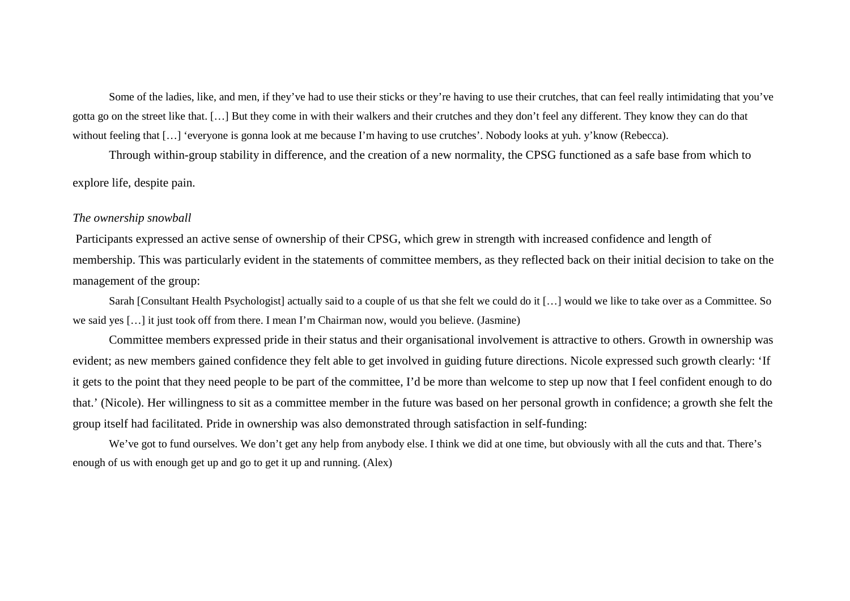Some of the ladies, like, and men, if they've had to use their sticks or they're having to use their crutches, that can feel really intimidating that you've gotta go on the street like that. […] But they come in with their walkers and their crutches and they don't feel any different. They know they can do that without feeling that [...] 'everyone is gonna look at me because I'm having to use crutches'. Nobody looks at yuh. y'know (Rebecca).

Through within-group stability in difference, and the creation of a new normality, the CPSG functioned as a safe base from which to explore life, despite pain.

### *The ownership snowball*

Participants expressed an active sense of ownership of their CPSG, which grew in strength with increased confidence and length of membership. This was particularly evident in the statements of committee members, as they reflected back on their initial decision to take on the management of the group:

Sarah [Consultant Health Psychologist] actually said to a couple of us that she felt we could do it […] would we like to take over as a Committee. So we said yes […] it just took off from there. I mean I'm Chairman now, would you believe. (Jasmine)

Committee members expressed pride in their status and their organisational involvement is attractive to others. Growth in ownership was evident; as new members gained confidence they felt able to get involved in guiding future directions. Nicole expressed such growth clearly: 'If it gets to the point that they need people to be part of the committee, I'd be more than welcome to step up now that I feel confident enough to do that.' (Nicole). Her willingness to sit as a committee member in the future was based on her personal growth in confidence; a growth she felt the group itself had facilitated. Pride in ownership was also demonstrated through satisfaction in self-funding:

We've got to fund ourselves. We don't get any help from anybody else. I think we did at one time, but obviously with all the cuts and that. There's enough of us with enough get up and go to get it up and running. (Alex)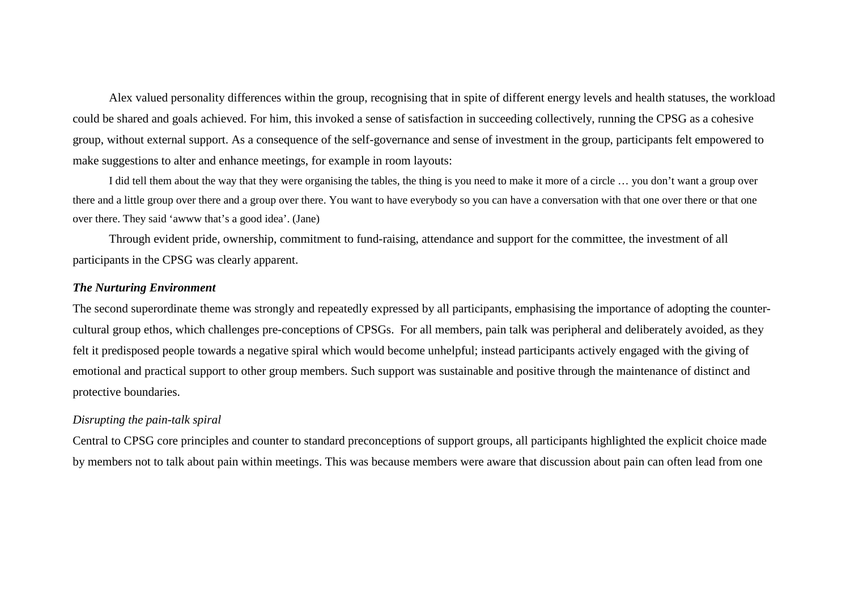Alex valued personality differences within the group, recognising that in spite of different energy levels and health statuses, the workload could be shared and goals achieved. For him, this invoked a sense of satisfaction in succeeding collectively, running the CPSG as a cohesive group, without external support. As a consequence of the self-governance and sense of investment in the group, participants felt empowered to make suggestions to alter and enhance meetings, for example in room layouts:

I did tell them about the way that they were organising the tables, the thing is you need to make it more of a circle … you don't want a group over there and a little group over there and a group over there. You want to have everybody so you can have a conversation with that one over there or that one over there. They said 'awww that's a good idea'. (Jane)

Through evident pride, ownership, commitment to fund-raising, attendance and support for the committee, the investment of all participants in the CPSG was clearly apparent.

#### *The Nurturing Environment*

The second superordinate theme was strongly and repeatedly expressed by all participants, emphasising the importance of adopting the countercultural group ethos, which challenges pre-conceptions of CPSGs. For all members, pain talk was peripheral and deliberately avoided, as they felt it predisposed people towards a negative spiral which would become unhelpful; instead participants actively engaged with the giving of emotional and practical support to other group members. Such support was sustainable and positive through the maintenance of distinct and protective boundaries.

#### *Disrupting the pain-talk spiral*

Central to CPSG core principles and counter to standard preconceptions of support groups, all participants highlighted the explicit choice made by members not to talk about pain within meetings. This was because members were aware that discussion about pain can often lead from one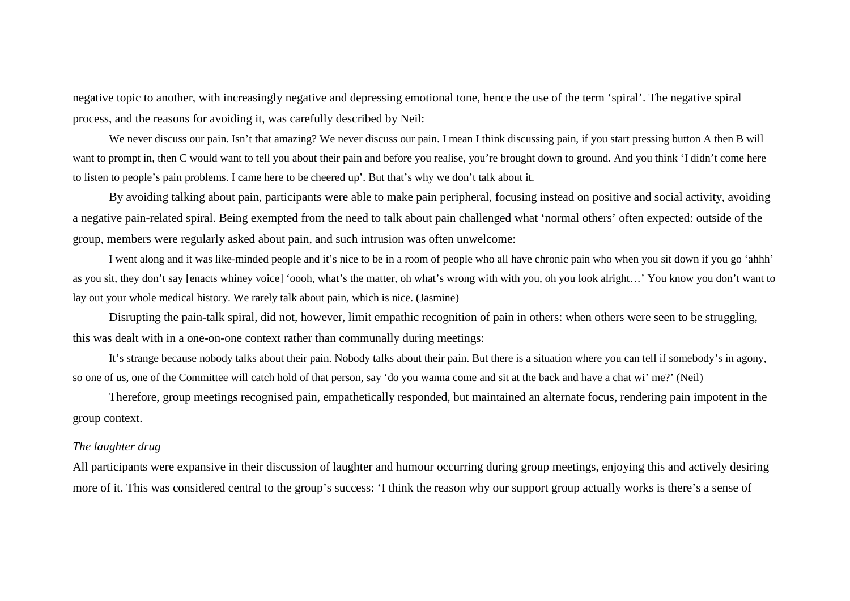negative topic to another, with increasingly negative and depressing emotional tone, hence the use of the term 'spiral'. The negative spiral process, and the reasons for avoiding it, was carefully described by Neil:

We never discuss our pain. Isn't that amazing? We never discuss our pain. I mean I think discussing pain, if you start pressing button A then B will want to prompt in, then C would want to tell you about their pain and before you realise, you're brought down to ground. And you think 'I didn't come here to listen to people's pain problems. I came here to be cheered up'. But that's why we don't talk about it.

By avoiding talking about pain, participants were able to make pain peripheral, focusing instead on positive and social activity, avoiding a negative pain-related spiral. Being exempted from the need to talk about pain challenged what 'normal others' often expected: outside of the group, members were regularly asked about pain, and such intrusion was often unwelcome:

I went along and it was like-minded people and it's nice to be in a room of people who all have chronic pain who when you sit down if you go 'ahhh' as you sit, they don't say [enacts whiney voice] 'oooh, what's the matter, oh what's wrong with with you, oh you look alright…' You know you don't want to lay out your whole medical history. We rarely talk about pain, which is nice. (Jasmine)

Disrupting the pain-talk spiral, did not, however, limit empathic recognition of pain in others: when others were seen to be struggling, this was dealt with in a one-on-one context rather than communally during meetings:

It's strange because nobody talks about their pain. Nobody talks about their pain. But there is a situation where you can tell if somebody's in agony, so one of us, one of the Committee will catch hold of that person, say 'do you wanna come and sit at the back and have a chat wi' me?' (Neil)

Therefore, group meetings recognised pain, empathetically responded, but maintained an alternate focus, rendering pain impotent in the group context.

#### *The laughter drug*

All participants were expansive in their discussion of laughter and humour occurring during group meetings, enjoying this and actively desiring more of it. This was considered central to the group's success: 'I think the reason why our support group actually works is there's a sense of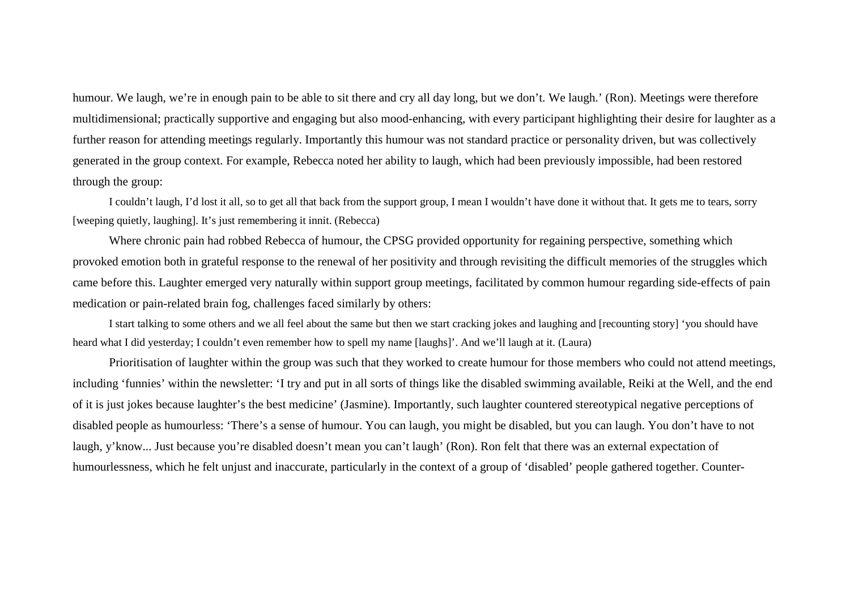humour. We laugh, we're in enough pain to be able to sit there and cry all day long, but we don't. We laugh.' (Ron). Meetings were therefore multidimensional; practically supportive and engaging but also mood-enhancing, with every participant highlighting their desire for laughter as a further reason for attending meetings regularly. Importantly this humour was not standard practice or personality driven, but was collectively generated in the group context. For example, Rebecca noted her ability to laugh, which had been previously impossible, had been restored through the group:

I couldn't laugh, I'd lost it all, so to get all that back from the support group, I mean I wouldn't have done it without that. It gets me to tears, sorry [weeping quietly, laughing]. It's just remembering it innit. (Rebecca)

Where chronic pain had robbed Rebecca of humour, the CPSG provided opportunity for regaining perspective, something which provoked emotion both in grateful response to the renewal of her positivity and through revisiting the difficult memories of the struggles which came before this. Laughter emerged very naturally within support group meetings, facilitated by common humour regarding side-effects of pain medication or pain-related brain fog, challenges faced similarly by others:

I start talking to some others and we all feel about the same but then we start cracking jokes and laughing and [recounting story] 'you should have heard what I did yesterday; I couldn't even remember how to spell my name [laughs]'. And we'll laugh at it. (Laura)

Prioritisation of laughter within the group was such that they worked to create humour for those members who could not attend meetings, including 'funnies' within the newsletter: 'I try and put in all sorts of things like the disabled swimming available, Reiki at the Well, and the end of it is just jokes because laughter's the best medicine' (Jasmine). Importantly, such laughter countered stereotypical negative perceptions of disabled people as humourless: 'There's a sense of humour. You can laugh, you might be disabled, but you can laugh. You don't have to not laugh, y'know... Just because you're disabled doesn't mean you can't laugh' (Ron). Ron felt that there was an external expectation of humourlessness, which he felt unjust and inaccurate, particularly in the context of a group of 'disabled' people gathered together. Counter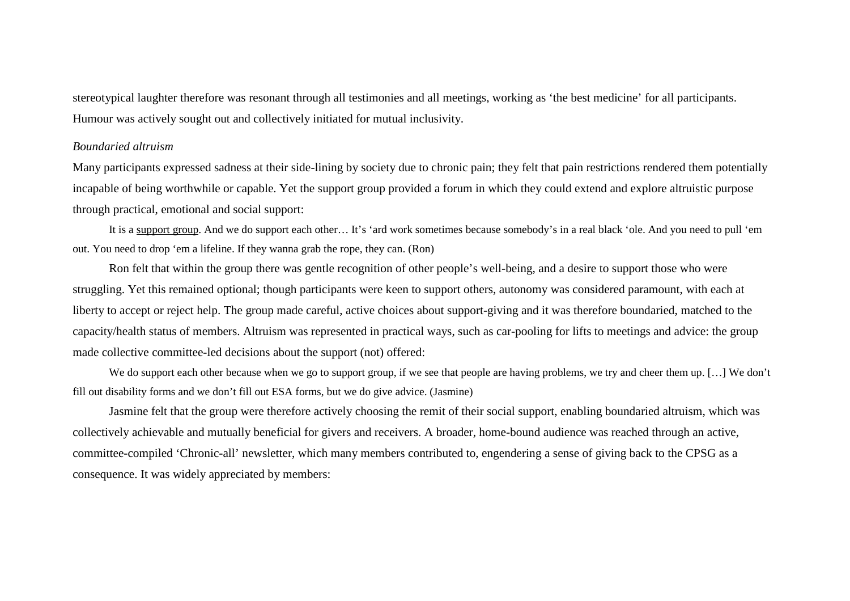stereotypical laughter therefore was resonant through all testimonies and all meetings, working as 'the best medicine' for all participants. Humour was actively sought out and collectively initiated for mutual inclusivity.

#### *Boundaried altruism*

Many participants expressed sadness at their side-lining by society due to chronic pain; they felt that pain restrictions rendered them potentially incapable of being worthwhile or capable. Yet the support group provided a forum in which they could extend and explore altruistic purpose through practical, emotional and social support:

It is a support group. And we do support each other… It's 'ard work sometimes because somebody's in a real black 'ole. And you need to pull 'em out. You need to drop 'em a lifeline. If they wanna grab the rope, they can. (Ron)

Ron felt that within the group there was gentle recognition of other people's well-being, and a desire to support those who were struggling. Yet this remained optional; though participants were keen to support others, autonomy was considered paramount, with each at liberty to accept or reject help. The group made careful, active choices about support-giving and it was therefore boundaried, matched to the capacity/health status of members. Altruism was represented in practical ways, such as car-pooling for lifts to meetings and advice: the group made collective committee-led decisions about the support (not) offered:

We do support each other because when we go to support group, if we see that people are having problems, we try and cheer them up. [...] We don't fill out disability forms and we don't fill out ESA forms, but we do give advice. (Jasmine)

Jasmine felt that the group were therefore actively choosing the remit of their social support, enabling boundaried altruism, which was collectively achievable and mutually beneficial for givers and receivers. A broader, home-bound audience was reached through an active, committee-compiled 'Chronic-all' newsletter, which many members contributed to, engendering a sense of giving back to the CPSG as a consequence. It was widely appreciated by members: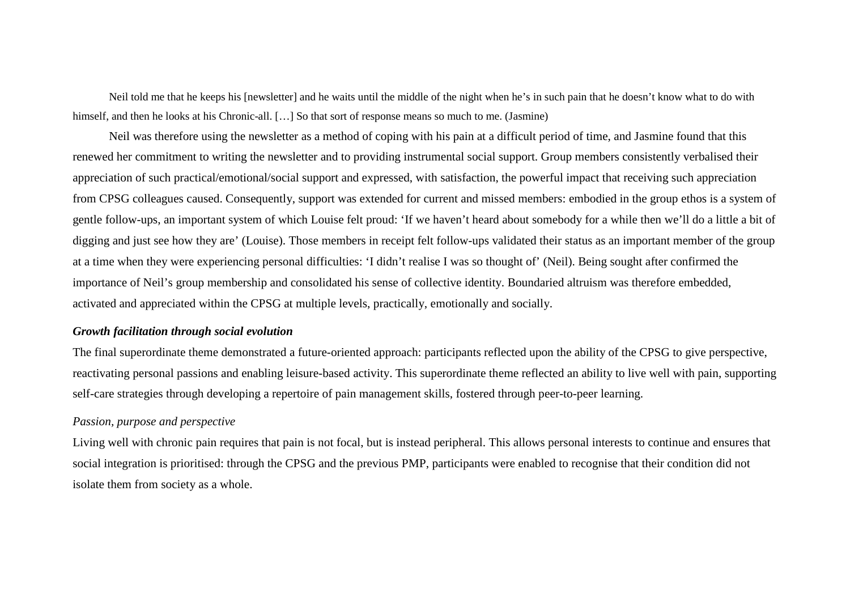Neil told me that he keeps his [newsletter] and he waits until the middle of the night when he's in such pain that he doesn't know what to do with himself, and then he looks at his Chronic-all. […] So that sort of response means so much to me. (Jasmine)

Neil was therefore using the newsletter as a method of coping with his pain at a difficult period of time, and Jasmine found that this renewed her commitment to writing the newsletter and to providing instrumental social support. Group members consistently verbalised their appreciation of such practical/emotional/social support and expressed, with satisfaction, the powerful impact that receiving such appreciation from CPSG colleagues caused. Consequently, support was extended for current and missed members: embodied in the group ethos is a system of gentle follow-ups, an important system of which Louise felt proud: 'If we haven't heard about somebody for a while then we'll do a little a bit of digging and just see how they are' (Louise). Those members in receipt felt follow-ups validated their status as an important member of the group at a time when they were experiencing personal difficulties: 'I didn't realise I was so thought of' (Neil). Being sought after confirmed the importance of Neil's group membership and consolidated his sense of collective identity. Boundaried altruism was therefore embedded, activated and appreciated within the CPSG at multiple levels, practically, emotionally and socially.

## *Growth facilitation through social evolution*

The final superordinate theme demonstrated a future-oriented approach: participants reflected upon the ability of the CPSG to give perspective, reactivating personal passions and enabling leisure-based activity. This superordinate theme reflected an ability to live well with pain, supporting self-care strategies through developing a repertoire of pain management skills, fostered through peer-to-peer learning.

# *Passion, purpose and perspective*

Living well with chronic pain requires that pain is not focal, but is instead peripheral. This allows personal interests to continue and ensures that social integration is prioritised: through the CPSG and the previous PMP, participants were enabled to recognise that their condition did not isolate them from society as a whole.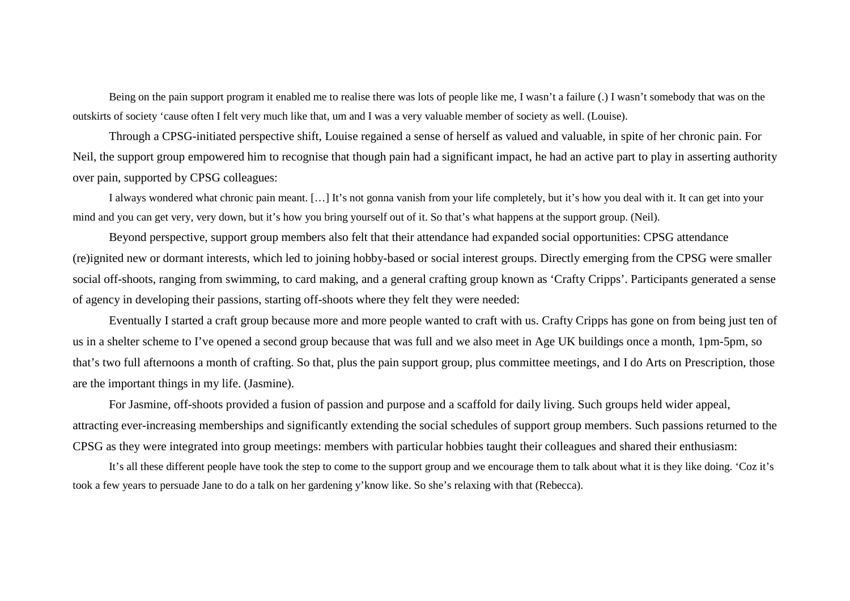Being on the pain support program it enabled me to realise there was lots of people like me, I wasn't a failure (.) I wasn't somebody that was on the outskirts of society 'cause often I felt very much like that, um and I was a very valuable member of society as well. (Louise).

Through a CPSG-initiated perspective shift, Louise regained a sense of herself as valued and valuable, in spite of her chronic pain. For Neil, the support group empowered him to recognise that though pain had a significant impact, he had an active part to play in asserting authority over pain, supported by CPSG colleagues:

I always wondered what chronic pain meant. […] It's not gonna vanish from your life completely, but it's how you deal with it. It can get into your mind and you can get very, very down, but it's how you bring yourself out of it. So that's what happens at the support group. (Neil).

Beyond perspective, support group members also felt that their attendance had expanded social opportunities: CPSG attendance (re)ignited new or dormant interests, which led to joining hobby-based or social interest groups. Directly emerging from the CPSG were smaller social off-shoots, ranging from swimming, to card making, and a general crafting group known as 'Crafty Cripps'. Participants generated a sense of agency in developing their passions, starting off-shoots where they felt they were needed:

Eventually I started a craft group because more and more people wanted to craft with us. Crafty Cripps has gone on from being just ten of us in a shelter scheme to I've opened a second group because that was full and we also meet in Age UK buildings once a month, 1pm-5pm, so that's two full afternoons a month of crafting. So that, plus the pain support group, plus committee meetings, and I do Arts on Prescription, those are the important things in my life. (Jasmine).

For Jasmine, off-shoots provided a fusion of passion and purpose and a scaffold for daily living. Such groups held wider appeal, attracting ever-increasing memberships and significantly extending the social schedules of support group members. Such passions returned to the CPSG as they were integrated into group meetings: members with particular hobbies taught their colleagues and shared their enthusiasm:

It's all these different people have took the step to come to the support group and we encourage them to talk about what it is they like doing. 'Coz it's took a few years to persuade Jane to do a talk on her gardening y'know like. So she's relaxing with that (Rebecca).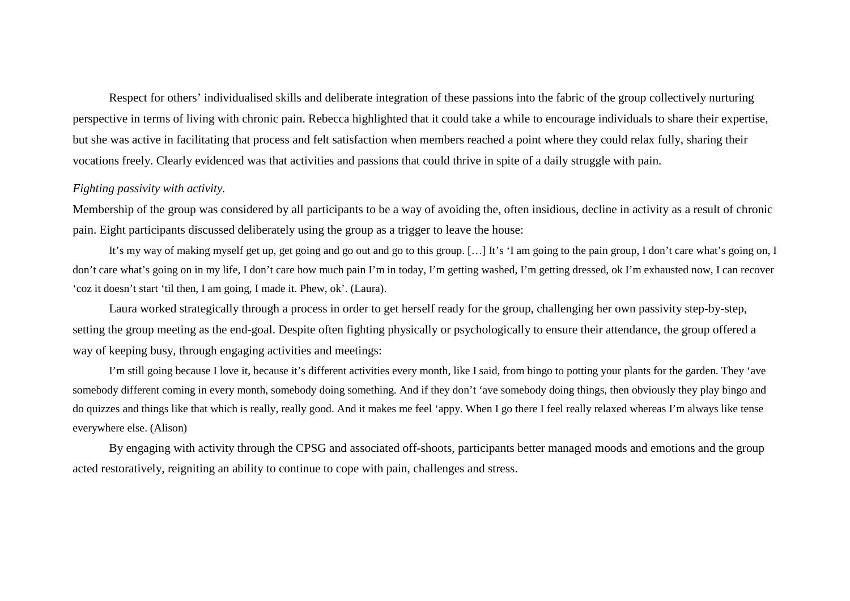Respect for others' individualised skills and deliberate integration of these passions into the fabric of the group collectively nurturing perspective in terms of living with chronic pain. Rebecca highlighted that it could take a while to encourage individuals to share their expertise, but she was active in facilitating that process and felt satisfaction when members reached a point where they could relax fully, sharing their vocations freely. Clearly evidenced was that activities and passions that could thrive in spite of a daily struggle with pain.

#### *Fighting passivity with activity.*

Membership of the group was considered by all participants to be a way of avoiding the, often insidious, decline in activity as a result of chronic pain. Eight participants discussed deliberately using the group as a trigger to leave the house:

It's my way of making myself get up, get going and go out and go to this group. […] It's 'I am going to the pain group, I don't care what's going on, I don't care what's going on in my life, I don't care how much pain I'm in today, I'm getting washed, I'm getting dressed, ok I'm exhausted now, I can recover 'coz it doesn't start 'til then, I am going, I made it. Phew, ok'. (Laura).

Laura worked strategically through a process in order to get herself ready for the group, challenging her own passivity step-by-step, setting the group meeting as the end-goal. Despite often fighting physically or psychologically to ensure their attendance, the group offered a way of keeping busy, through engaging activities and meetings:

I'm still going because I love it, because it's different activities every month, like I said, from bingo to potting your plants for the garden. They 'ave somebody different coming in every month, somebody doing something. And if they don't 'ave somebody doing things, then obviously they play bingo and do quizzes and things like that which is really, really good. And it makes me feel 'appy. When I go there I feel really relaxed whereas I'm always like tense everywhere else. (Alison)

By engaging with activity through the CPSG and associated off-shoots, participants better managed moods and emotions and the group acted restoratively, reigniting an ability to continue to cope with pain, challenges and stress.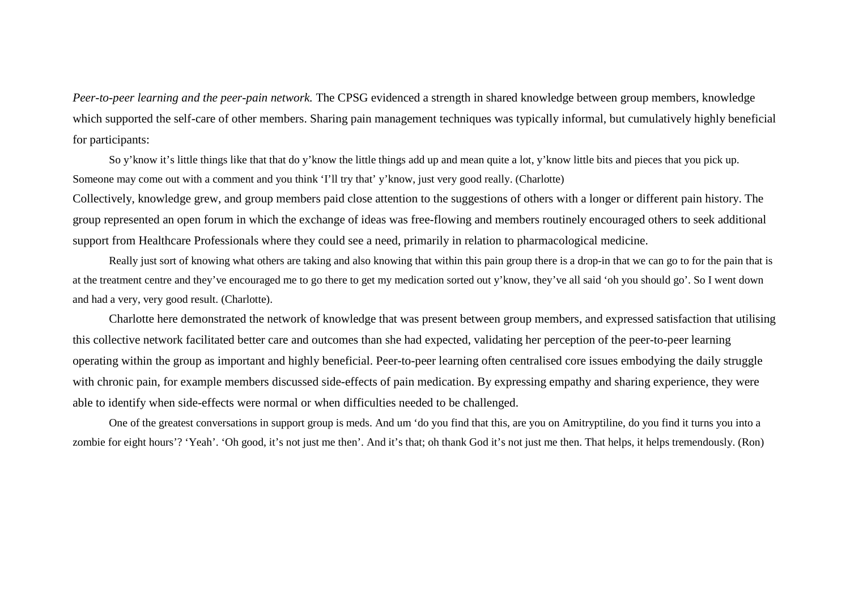*Peer-to-peer learning and the peer-pain network.* The CPSG evidenced a strength in shared knowledge between group members, knowledge which supported the self-care of other members. Sharing pain management techniques was typically informal, but cumulatively highly beneficial for participants:

So y'know it's little things like that that do y'know the little things add up and mean quite a lot, y'know little bits and pieces that you pick up. Someone may come out with a comment and you think 'I'll try that' y'know, just very good really. (Charlotte)

Collectively, knowledge grew, and group members paid close attention to the suggestions of others with a longer or different pain history. The group represented an open forum in which the exchange of ideas was free-flowing and members routinely encouraged others to seek additional support from Healthcare Professionals where they could see a need, primarily in relation to pharmacological medicine.

Really just sort of knowing what others are taking and also knowing that within this pain group there is a drop-in that we can go to for the pain that is at the treatment centre and they've encouraged me to go there to get my medication sorted out y'know, they've all said 'oh you should go'. So I went down and had a very, very good result. (Charlotte).

Charlotte here demonstrated the network of knowledge that was present between group members, and expressed satisfaction that utilising this collective network facilitated better care and outcomes than she had expected, validating her perception of the peer-to-peer learning operating within the group as important and highly beneficial. Peer-to-peer learning often centralised core issues embodying the daily struggle with chronic pain, for example members discussed side-effects of pain medication. By expressing empathy and sharing experience, they were able to identify when side-effects were normal or when difficulties needed to be challenged.

One of the greatest conversations in support group is meds. And um 'do you find that this, are you on Amitryptiline, do you find it turns you into a zombie for eight hours'? 'Yeah'. 'Oh good, it's not just me then'. And it's that; oh thank God it's not just me then. That helps, it helps tremendously. (Ron)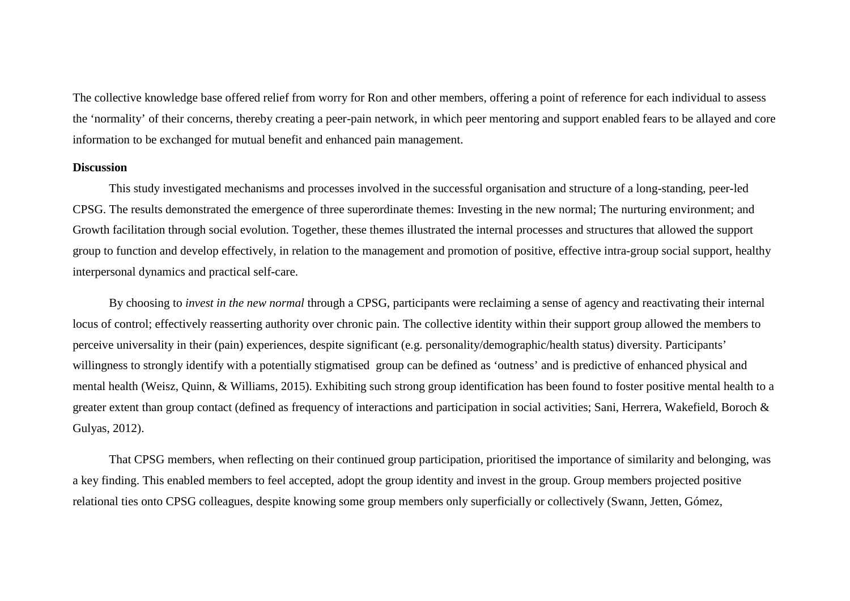The collective knowledge base offered relief from worry for Ron and other members, offering a point of reference for each individual to assess the 'normality' of their concerns, thereby creating a peer-pain network, in which peer mentoring and support enabled fears to be allayed and core information to be exchanged for mutual benefit and enhanced pain management.

## **Discussion**

This study investigated mechanisms and processes involved in the successful organisation and structure of a long-standing, peer-led CPSG. The results demonstrated the emergence of three superordinate themes: Investing in the new normal; The nurturing environment; and Growth facilitation through social evolution. Together, these themes illustrated the internal processes and structures that allowed the support group to function and develop effectively, in relation to the management and promotion of positive, effective intra-group social support, healthy interpersonal dynamics and practical self-care.

By choosing to *invest in the new normal* through a CPSG, participants were reclaiming a sense of agency and reactivating their internal locus of control; effectively reasserting authority over chronic pain. The collective identity within their support group allowed the members to perceive universality in their (pain) experiences, despite significant (e.g. personality/demographic/health status) diversity. Participants' willingness to strongly identify with a potentially stigmatised group can be defined as 'outness' and is predictive of enhanced physical and mental health (Weisz, Quinn, & Williams, 2015). Exhibiting such strong group identification has been found to foster positive mental health to a greater extent than group contact (defined as frequency of interactions and participation in social activities; Sani, Herrera, Wakefield, Boroch & Gulyas, 2012).

That CPSG members, when reflecting on their continued group participation, prioritised the importance of similarity and belonging, was a key finding. This enabled members to feel accepted, adopt the group identity and invest in the group. Group members projected positive relational ties onto CPSG colleagues, despite knowing some group members only superficially or collectively (Swann, Jetten, Gómez,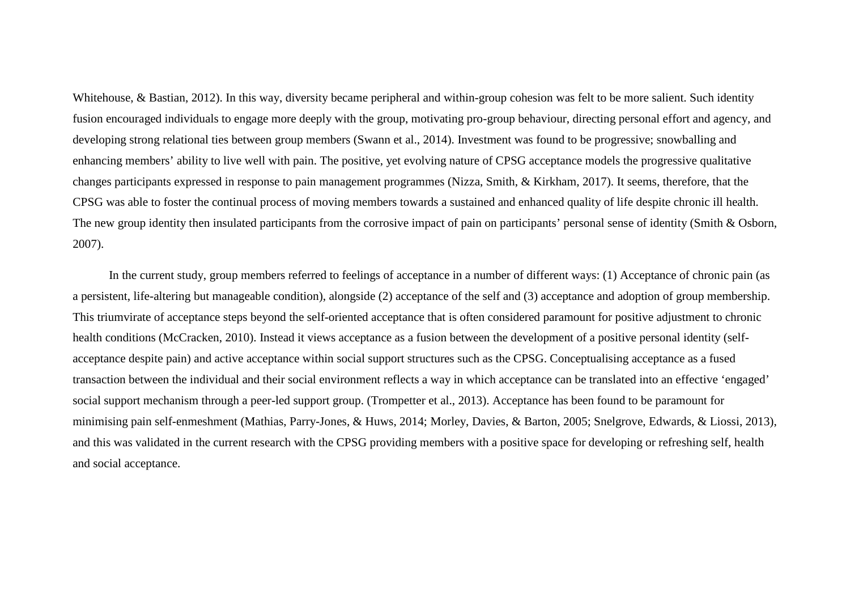Whitehouse, & Bastian, 2012). In this way, diversity became peripheral and within-group cohesion was felt to be more salient. Such identity fusion encouraged individuals to engage more deeply with the group, motivating pro-group behaviour, directing personal effort and agency, and developing strong relational ties between group members (Swann et al., 2014). Investment was found to be progressive; snowballing and enhancing members' ability to live well with pain. The positive, yet evolving nature of CPSG acceptance models the progressive qualitative changes participants expressed in response to pain management programmes (Nizza, Smith, & Kirkham, 2017). It seems, therefore, that the CPSG was able to foster the continual process of moving members towards a sustained and enhanced quality of life despite chronic ill health. The new group identity then insulated participants from the corrosive impact of pain on participants' personal sense of identity (Smith & Osborn, 2007).

In the current study, group members referred to feelings of acceptance in a number of different ways: (1) Acceptance of chronic pain (as a persistent, life-altering but manageable condition), alongside (2) acceptance of the self and (3) acceptance and adoption of group membership. This triumvirate of acceptance steps beyond the self-oriented acceptance that is often considered paramount for positive adjustment to chronic health conditions (McCracken, 2010). Instead it views acceptance as a fusion between the development of a positive personal identity (selfacceptance despite pain) and active acceptance within social support structures such as the CPSG. Conceptualising acceptance as a fused transaction between the individual and their social environment reflects a way in which acceptance can be translated into an effective 'engaged' social support mechanism through a peer-led support group. (Trompetter et al., 2013). Acceptance has been found to be paramount for minimising pain self-enmeshment (Mathias, Parry-Jones, & Huws, 2014; Morley, Davies, & Barton, 2005; Snelgrove, Edwards, & Liossi, 2013), and this was validated in the current research with the CPSG providing members with a positive space for developing or refreshing self, health and social acceptance.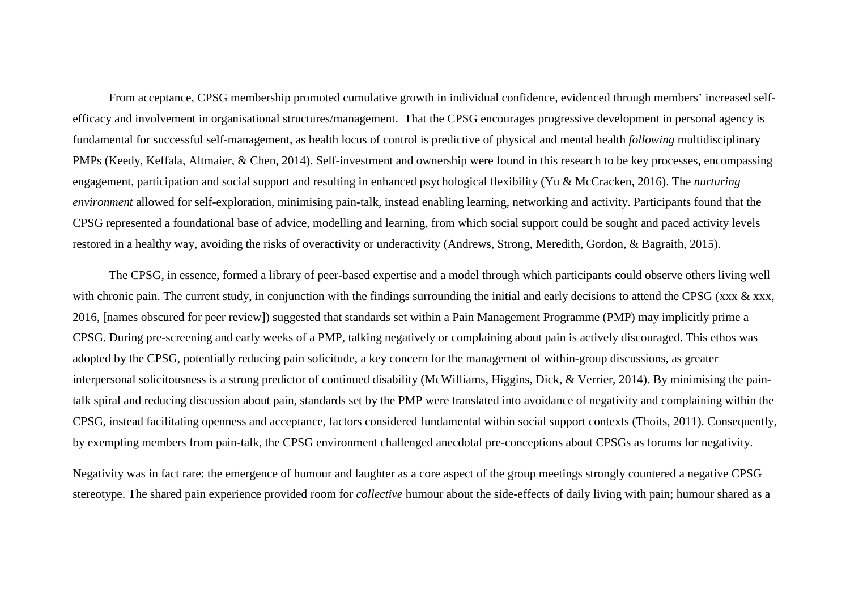From acceptance, CPSG membership promoted cumulative growth in individual confidence, evidenced through members' increased selfefficacy and involvement in organisational structures/management. That the CPSG encourages progressive development in personal agency is fundamental for successful self-management, as health locus of control is predictive of physical and mental health *following* multidisciplinary PMPs (Keedy, Keffala, Altmaier, & Chen, 2014). Self-investment and ownership were found in this research to be key processes, encompassing engagement, participation and social support and resulting in enhanced psychological flexibility (Yu & McCracken, 2016). The *nurturing environment* allowed for self-exploration, minimising pain-talk, instead enabling learning, networking and activity. Participants found that the CPSG represented a foundational base of advice, modelling and learning, from which social support could be sought and paced activity levels restored in a healthy way, avoiding the risks of overactivity or underactivity (Andrews, Strong, Meredith, Gordon, & Bagraith, 2015).

The CPSG, in essence, formed a library of peer-based expertise and a model through which participants could observe others living well with chronic pain. The current study, in conjunction with the findings surrounding the initial and early decisions to attend the CPSG (xxx & xxx, 2016, [names obscured for peer review]) suggested that standards set within a Pain Management Programme (PMP) may implicitly prime a CPSG. During pre-screening and early weeks of a PMP, talking negatively or complaining about pain is actively discouraged. This ethos was adopted by the CPSG, potentially reducing pain solicitude, a key concern for the management of within-group discussions, as greater interpersonal solicitousness is a strong predictor of continued disability (McWilliams, Higgins, Dick, & Verrier, 2014). By minimising the paintalk spiral and reducing discussion about pain, standards set by the PMP were translated into avoidance of negativity and complaining within the CPSG, instead facilitating openness and acceptance, factors considered fundamental within social support contexts (Thoits, 2011). Consequently, by exempting members from pain-talk, the CPSG environment challenged anecdotal pre-conceptions about CPSGs as forums for negativity.

Negativity was in fact rare: the emergence of humour and laughter as a core aspect of the group meetings strongly countered a negative CPSG stereotype. The shared pain experience provided room for *collective* humour about the side-effects of daily living with pain; humour shared as a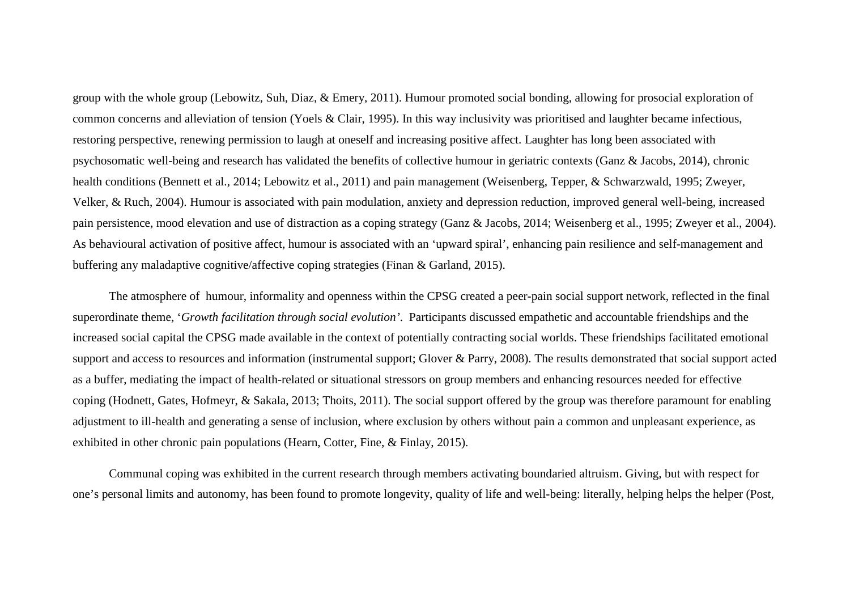group with the whole group (Lebowitz, Suh, Diaz, & Emery, 2011). Humour promoted social bonding, allowing for prosocial exploration of common concerns and alleviation of tension (Yoels & Clair, 1995). In this way inclusivity was prioritised and laughter became infectious, restoring perspective, renewing permission to laugh at oneself and increasing positive affect. Laughter has long been associated with psychosomatic well-being and research has validated the benefits of collective humour in geriatric contexts (Ganz & Jacobs, 2014), chronic health conditions (Bennett et al., 2014; Lebowitz et al., 2011) and pain management (Weisenberg, Tepper, & Schwarzwald, 1995; Zweyer, Velker, & Ruch, 2004). Humour is associated with pain modulation, anxiety and depression reduction, improved general well-being, increased pain persistence, mood elevation and use of distraction as a coping strategy (Ganz & Jacobs, 2014; Weisenberg et al., 1995; Zweyer et al., 2004). As behavioural activation of positive affect, humour is associated with an 'upward spiral', enhancing pain resilience and self-management and buffering any maladaptive cognitive/affective coping strategies (Finan & Garland, 2015).

The atmosphere of humour, informality and openness within the CPSG created a peer-pain social support network, reflected in the final superordinate theme, '*Growth facilitation through social evolution'*. Participants discussed empathetic and accountable friendships and the increased social capital the CPSG made available in the context of potentially contracting social worlds. These friendships facilitated emotional support and access to resources and information (instrumental support; Glover & Parry, 2008). The results demonstrated that social support acted as a buffer, mediating the impact of health-related or situational stressors on group members and enhancing resources needed for effective coping (Hodnett, Gates, Hofmeyr, & Sakala, 2013; Thoits, 2011). The social support offered by the group was therefore paramount for enabling adjustment to ill-health and generating a sense of inclusion, where exclusion by others without pain a common and unpleasant experience, as exhibited in other chronic pain populations (Hearn, Cotter, Fine, & Finlay, 2015).

Communal coping was exhibited in the current research through members activating boundaried altruism. Giving, but with respect for one's personal limits and autonomy, has been found to promote longevity, quality of life and well-being: literally, helping helps the helper (Post,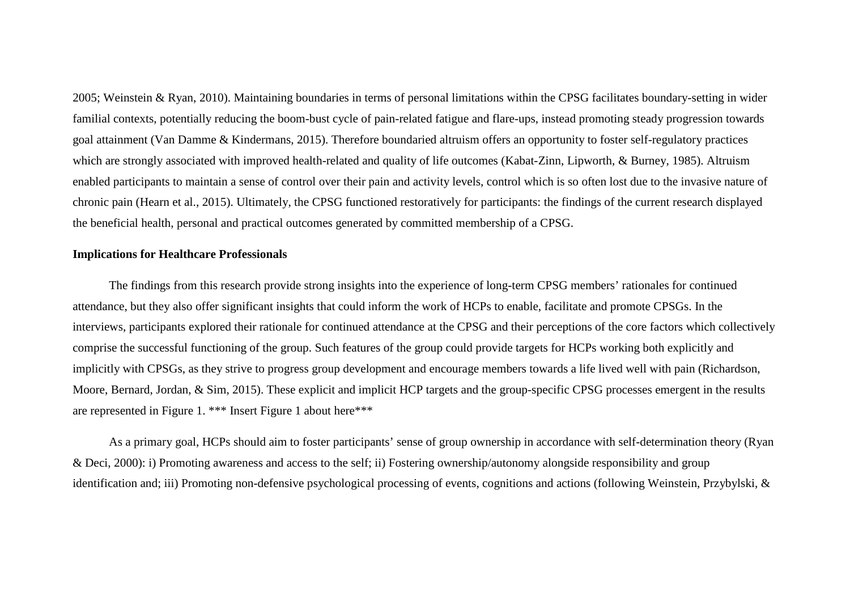2005; Weinstein & Ryan, 2010). Maintaining boundaries in terms of personal limitations within the CPSG facilitates boundary-setting in wider familial contexts, potentially reducing the boom-bust cycle of pain-related fatigue and flare-ups, instead promoting steady progression towards goal attainment (Van Damme & Kindermans, 2015). Therefore boundaried altruism offers an opportunity to foster self-regulatory practices which are strongly associated with improved health-related and quality of life outcomes (Kabat-Zinn, Lipworth, & Burney, 1985). Altruism enabled participants to maintain a sense of control over their pain and activity levels, control which is so often lost due to the invasive nature of chronic pain (Hearn et al., 2015). Ultimately, the CPSG functioned restoratively for participants: the findings of the current research displayed the beneficial health, personal and practical outcomes generated by committed membership of a CPSG.

### **Implications for Healthcare Professionals**

The findings from this research provide strong insights into the experience of long-term CPSG members' rationales for continued attendance, but they also offer significant insights that could inform the work of HCPs to enable, facilitate and promote CPSGs. In the interviews, participants explored their rationale for continued attendance at the CPSG and their perceptions of the core factors which collectively comprise the successful functioning of the group. Such features of the group could provide targets for HCPs working both explicitly and implicitly with CPSGs, as they strive to progress group development and encourage members towards a life lived well with pain (Richardson, Moore, Bernard, Jordan, & Sim, 2015). These explicit and implicit HCP targets and the group-specific CPSG processes emergent in the results are represented in Figure 1. \*\*\* Insert Figure 1 about here\*\*\*

As a primary goal, HCPs should aim to foster participants' sense of group ownership in accordance with self-determination theory (Ryan & Deci, 2000): i) Promoting awareness and access to the self; ii) Fostering ownership/autonomy alongside responsibility and group identification and; iii) Promoting non-defensive psychological processing of events, cognitions and actions (following Weinstein, Przybylski, &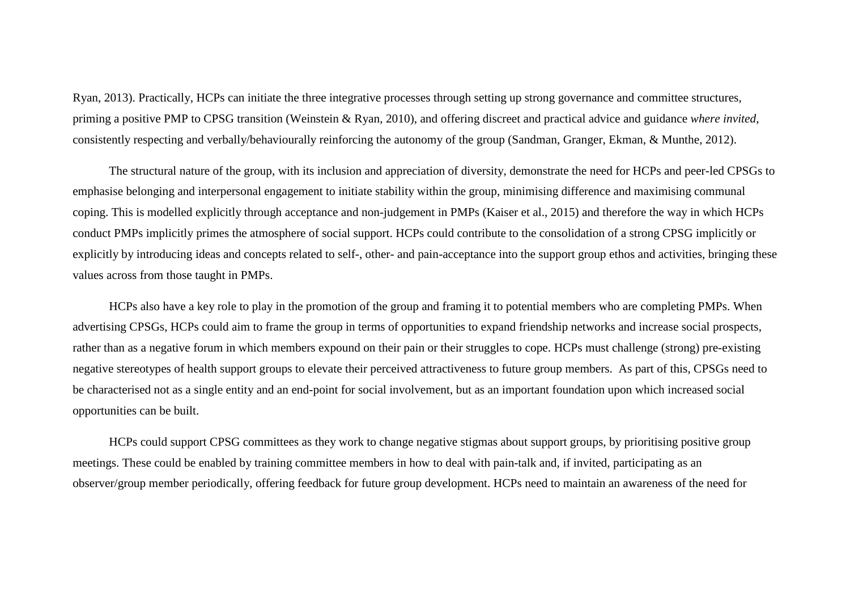Ryan, 2013). Practically, HCPs can initiate the three integrative processes through setting up strong governance and committee structures, priming a positive PMP to CPSG transition (Weinstein & Ryan, 2010), and offering discreet and practical advice and guidance *where invited*, consistently respecting and verbally/behaviourally reinforcing the autonomy of the group (Sandman, Granger, Ekman, & Munthe, 2012).

The structural nature of the group, with its inclusion and appreciation of diversity, demonstrate the need for HCPs and peer-led CPSGs to emphasise belonging and interpersonal engagement to initiate stability within the group, minimising difference and maximising communal coping. This is modelled explicitly through acceptance and non-judgement in PMPs (Kaiser et al., 2015) and therefore the way in which HCPs conduct PMPs implicitly primes the atmosphere of social support. HCPs could contribute to the consolidation of a strong CPSG implicitly or explicitly by introducing ideas and concepts related to self-, other- and pain-acceptance into the support group ethos and activities, bringing these values across from those taught in PMPs.

HCPs also have a key role to play in the promotion of the group and framing it to potential members who are completing PMPs. When advertising CPSGs, HCPs could aim to frame the group in terms of opportunities to expand friendship networks and increase social prospects, rather than as a negative forum in which members expound on their pain or their struggles to cope. HCPs must challenge (strong) pre-existing negative stereotypes of health support groups to elevate their perceived attractiveness to future group members. As part of this, CPSGs need to be characterised not as a single entity and an end-point for social involvement, but as an important foundation upon which increased social opportunities can be built.

HCPs could support CPSG committees as they work to change negative stigmas about support groups, by prioritising positive group meetings. These could be enabled by training committee members in how to deal with pain-talk and, if invited, participating as an observer/group member periodically, offering feedback for future group development. HCPs need to maintain an awareness of the need for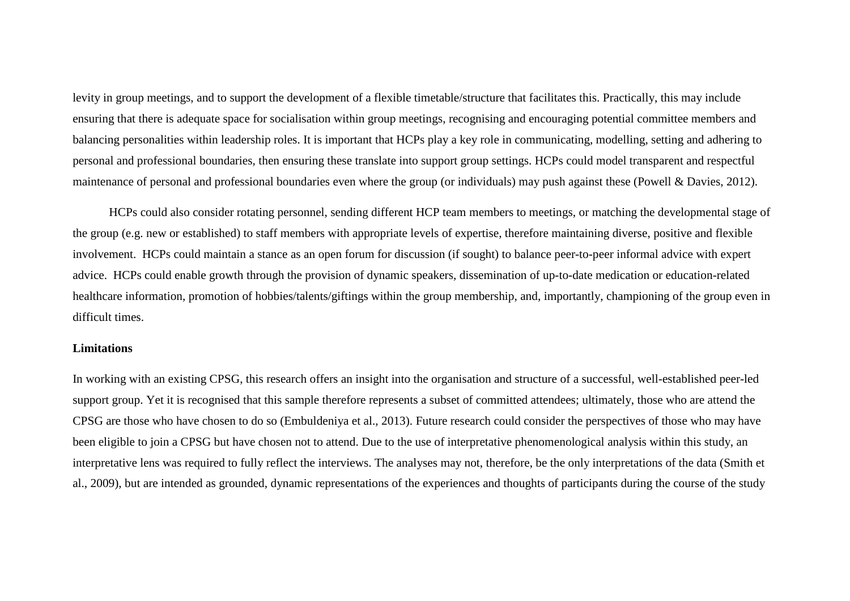levity in group meetings, and to support the development of a flexible timetable/structure that facilitates this. Practically, this may include ensuring that there is adequate space for socialisation within group meetings, recognising and encouraging potential committee members and balancing personalities within leadership roles. It is important that HCPs play a key role in communicating, modelling, setting and adhering to personal and professional boundaries, then ensuring these translate into support group settings. HCPs could model transparent and respectful maintenance of personal and professional boundaries even where the group (or individuals) may push against these (Powell & Davies, 2012).

HCPs could also consider rotating personnel, sending different HCP team members to meetings, or matching the developmental stage of the group (e.g. new or established) to staff members with appropriate levels of expertise, therefore maintaining diverse, positive and flexible involvement. HCPs could maintain a stance as an open forum for discussion (if sought) to balance peer-to-peer informal advice with expert advice. HCPs could enable growth through the provision of dynamic speakers, dissemination of up-to-date medication or education-related healthcare information, promotion of hobbies/talents/giftings within the group membership, and, importantly, championing of the group even in difficult times.

#### **Limitations**

In working with an existing CPSG, this research offers an insight into the organisation and structure of a successful, well-established peer-led support group. Yet it is recognised that this sample therefore represents a subset of committed attendees; ultimately, those who are attend the CPSG are those who have chosen to do so (Embuldeniya et al., 2013). Future research could consider the perspectives of those who may have been eligible to join a CPSG but have chosen not to attend. Due to the use of interpretative phenomenological analysis within this study, an interpretative lens was required to fully reflect the interviews. The analyses may not, therefore, be the only interpretations of the data (Smith et al., 2009), but are intended as grounded, dynamic representations of the experiences and thoughts of participants during the course of the study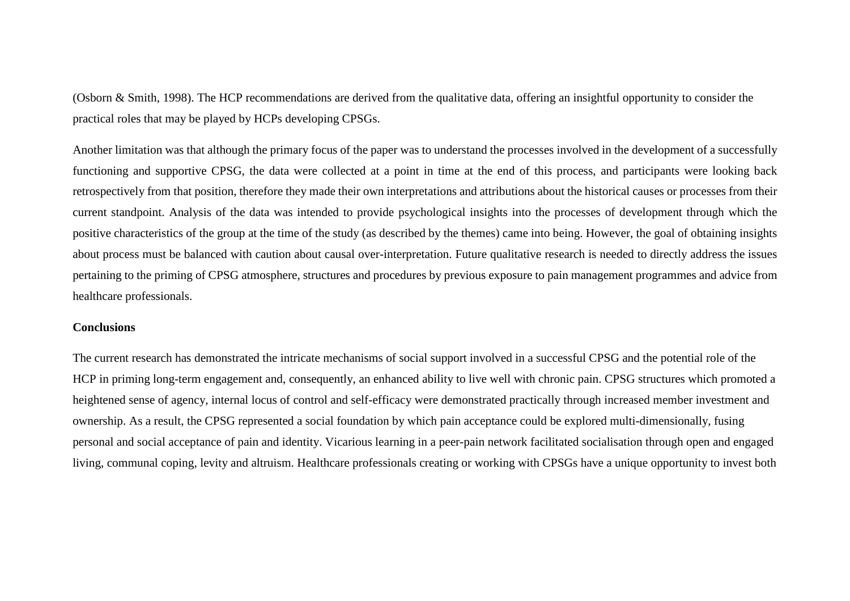(Osborn & Smith, 1998). The HCP recommendations are derived from the qualitative data, offering an insightful opportunity to consider the practical roles that may be played by HCPs developing CPSGs.

Another limitation was that although the primary focus of the paper was to understand the processes involved in the development of a successfully functioning and supportive CPSG, the data were collected at a point in time at the end of this process, and participants were looking back retrospectively from that position, therefore they made their own interpretations and attributions about the historical causes or processes from their current standpoint. Analysis of the data was intended to provide psychological insights into the processes of development through which the positive characteristics of the group at the time of the study (as described by the themes) came into being. However, the goal of obtaining insights about process must be balanced with caution about causal over-interpretation. Future qualitative research is needed to directly address the issues pertaining to the priming of CPSG atmosphere, structures and procedures by previous exposure to pain management programmes and advice from healthcare professionals.

#### **Conclusions**

The current research has demonstrated the intricate mechanisms of social support involved in a successful CPSG and the potential role of the HCP in priming long-term engagement and, consequently, an enhanced ability to live well with chronic pain. CPSG structures which promoted a heightened sense of agency, internal locus of control and self-efficacy were demonstrated practically through increased member investment and ownership. As a result, the CPSG represented a social foundation by which pain acceptance could be explored multi-dimensionally, fusing personal and social acceptance of pain and identity. Vicarious learning in a peer-pain network facilitated socialisation through open and engaged living, communal coping, levity and altruism. Healthcare professionals creating or working with CPSGs have a unique opportunity to invest both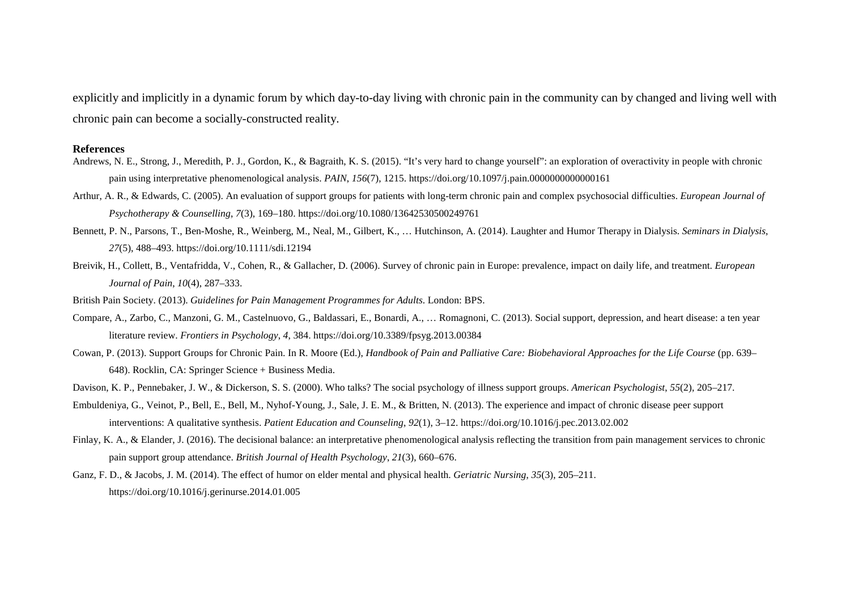explicitly and implicitly in a dynamic forum by which day-to-day living with chronic pain in the community can by changed and living well with chronic pain can become a socially-constructed reality.

#### **References**

- Andrews, N. E., Strong, J., Meredith, P. J., Gordon, K., & Bagraith, K. S. (2015). "It's very hard to change yourself": an exploration of overactivity in people with chronic pain using interpretative phenomenological analysis. *PAIN*, *156*(7), 1215. https://doi.org/10.1097/j.pain.0000000000000161
- Arthur, A. R., & Edwards, C. (2005). An evaluation of support groups for patients with long-term chronic pain and complex psychosocial difficulties. *European Journal of Psychotherapy & Counselling*, *7*(3), 169–180. https://doi.org/10.1080/13642530500249761
- Bennett, P. N., Parsons, T., Ben-Moshe, R., Weinberg, M., Neal, M., Gilbert, K., … Hutchinson, A. (2014). Laughter and Humor Therapy in Dialysis. *Seminars in Dialysis*, *27*(5), 488–493. https://doi.org/10.1111/sdi.12194
- Breivik, H., Collett, B., Ventafridda, V., Cohen, R., & Gallacher, D. (2006). Survey of chronic pain in Europe: prevalence, impact on daily life, and treatment. *European Journal of Pain*, *10*(4), 287–333.
- British Pain Society. (2013). *Guidelines for Pain Management Programmes for Adults*. London: BPS.
- Compare, A., Zarbo, C., Manzoni, G. M., Castelnuovo, G., Baldassari, E., Bonardi, A., … Romagnoni, C. (2013). Social support, depression, and heart disease: a ten year literature review. *Frontiers in Psychology*, *4*, 384. https://doi.org/10.3389/fpsyg.2013.00384
- Cowan, P. (2013). Support Groups for Chronic Pain. In R. Moore (Ed.), *Handbook of Pain and Palliative Care: Biobehavioral Approaches for the Life Course* (pp. 639– 648). Rocklin, CA: Springer Science + Business Media.
- Davison, K. P., Pennebaker, J. W., & Dickerson, S. S. (2000). Who talks? The social psychology of illness support groups. *American Psychologist*, *55*(2), 205–217.
- Embuldeniya, G., Veinot, P., Bell, E., Bell, M., Nyhof-Young, J., Sale, J. E. M., & Britten, N. (2013). The experience and impact of chronic disease peer support interventions: A qualitative synthesis. *Patient Education and Counseling*, *92*(1), 3–12. https://doi.org/10.1016/j.pec.2013.02.002
- Finlay, K. A., & Elander, J. (2016). The decisional balance: an interpretative phenomenological analysis reflecting the transition from pain management services to chronic pain support group attendance. *British Journal of Health Psychology*, *21*(3), 660–676.

Ganz, F. D., & Jacobs, J. M. (2014). The effect of humor on elder mental and physical health. *Geriatric Nursing*, *35*(3), 205–211. https://doi.org/10.1016/j.gerinurse.2014.01.005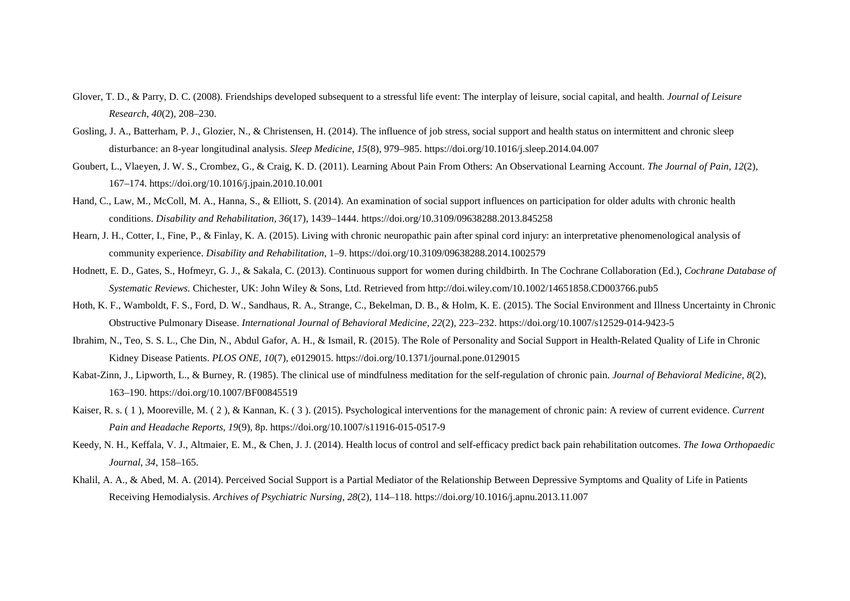- Glover, T. D., & Parry, D. C. (2008). Friendships developed subsequent to a stressful life event: The interplay of leisure, social capital, and health. *Journal of Leisure Research*, *40*(2), 208–230.
- Gosling, J. A., Batterham, P. J., Glozier, N., & Christensen, H. (2014). The influence of job stress, social support and health status on intermittent and chronic sleep disturbance: an 8-year longitudinal analysis. *Sleep Medicine*, *15*(8), 979–985. https://doi.org/10.1016/j.sleep.2014.04.007
- Goubert, L., Vlaeyen, J. W. S., Crombez, G., & Craig, K. D. (2011). Learning About Pain From Others: An Observational Learning Account. *The Journal of Pain*, *12*(2), 167–174. https://doi.org/10.1016/j.jpain.2010.10.001
- Hand, C., Law, M., McColl, M. A., Hanna, S., & Elliott, S. (2014). An examination of social support influences on participation for older adults with chronic health conditions. *Disability and Rehabilitation*, *36*(17), 1439–1444. https://doi.org/10.3109/09638288.2013.845258
- Hearn, J. H., Cotter, I., Fine, P., & Finlay, K. A. (2015). Living with chronic neuropathic pain after spinal cord injury: an interpretative phenomenological analysis of community experience. *Disability and Rehabilitation*, 1–9. https://doi.org/10.3109/09638288.2014.1002579
- Hodnett, E. D., Gates, S., Hofmeyr, G. J., & Sakala, C. (2013). Continuous support for women during childbirth. In The Cochrane Collaboration (Ed.), *Cochrane Database of Systematic Reviews*. Chichester, UK: John Wiley & Sons, Ltd. Retrieved from http://doi.wiley.com/10.1002/14651858.CD003766.pub5
- Hoth, K. F., Wamboldt, F. S., Ford, D. W., Sandhaus, R. A., Strange, C., Bekelman, D. B., & Holm, K. E. (2015). The Social Environment and Illness Uncertainty in Chronic Obstructive Pulmonary Disease. *International Journal of Behavioral Medicine*, *22*(2), 223–232. https://doi.org/10.1007/s12529-014-9423-5
- Ibrahim, N., Teo, S. S. L., Che Din, N., Abdul Gafor, A. H., & Ismail, R. (2015). The Role of Personality and Social Support in Health-Related Quality of Life in Chronic Kidney Disease Patients. *PLOS ONE*, *10*(7), e0129015. https://doi.org/10.1371/journal.pone.0129015
- Kabat-Zinn, J., Lipworth, L., & Burney, R. (1985). The clinical use of mindfulness meditation for the self-regulation of chronic pain. *Journal of Behavioral Medicine*, *8*(2), 163–190. https://doi.org/10.1007/BF00845519
- Kaiser, R. s. ( 1 ), Mooreville, M. ( 2 ), & Kannan, K. ( 3 ). (2015). Psychological interventions for the management of chronic pain: A review of current evidence. *Current Pain and Headache Reports*, *19*(9), 8p. https://doi.org/10.1007/s11916-015-0517-9
- Keedy, N. H., Keffala, V. J., Altmaier, E. M., & Chen, J. J. (2014). Health locus of control and self-efficacy predict back pain rehabilitation outcomes. *The Iowa Orthopaedic Journal*, *34*, 158–165.
- Khalil, A. A., & Abed, M. A. (2014). Perceived Social Support is a Partial Mediator of the Relationship Between Depressive Symptoms and Quality of Life in Patients Receiving Hemodialysis. *Archives of Psychiatric Nursing*, *28*(2), 114–118. https://doi.org/10.1016/j.apnu.2013.11.007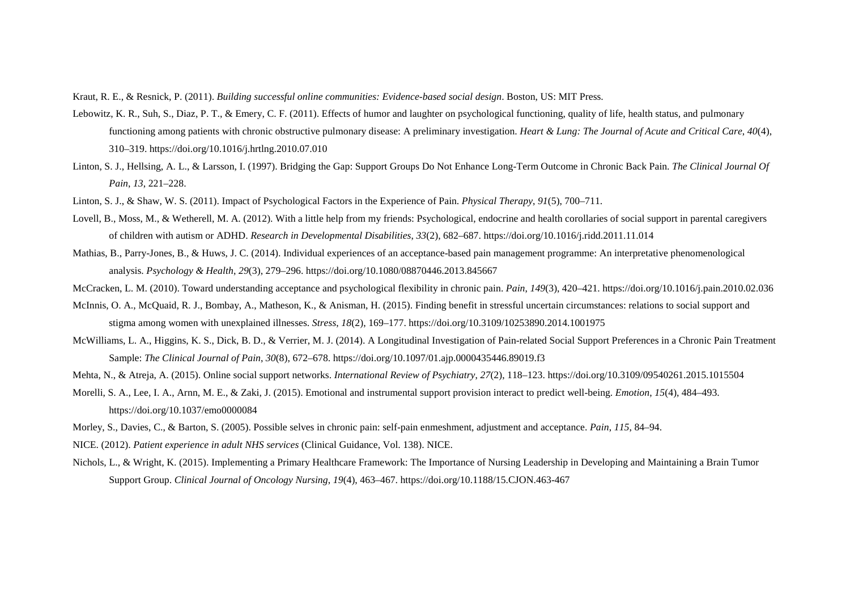Kraut, R. E., & Resnick, P. (2011). *Building successful online communities: Evidence-based social design*. Boston, US: MIT Press.

- Lebowitz, K. R., Suh, S., Diaz, P. T., & Emery, C. F. (2011). Effects of humor and laughter on psychological functioning, quality of life, health status, and pulmonary functioning among patients with chronic obstructive pulmonary disease: A preliminary investigation. *Heart & Lung: The Journal of Acute and Critical Care*, *40*(4), 310–319. https://doi.org/10.1016/j.hrtlng.2010.07.010
- Linton, S. J., Hellsing, A. L., & Larsson, I. (1997). Bridging the Gap: Support Groups Do Not Enhance Long-Term Outcome in Chronic Back Pain. *The Clinical Journal Of Pain*, *13*, 221–228.
- Linton, S. J., & Shaw, W. S. (2011). Impact of Psychological Factors in the Experience of Pain. *Physical Therapy*, *91*(5), 700–711.
- Lovell, B., Moss, M., & Wetherell, M. A. (2012). With a little help from my friends: Psychological, endocrine and health corollaries of social support in parental caregivers of children with autism or ADHD. *Research in Developmental Disabilities*, *33*(2), 682–687. https://doi.org/10.1016/j.ridd.2011.11.014
- Mathias, B., Parry-Jones, B., & Huws, J. C. (2014). Individual experiences of an acceptance-based pain management programme: An interpretative phenomenological analysis. *Psychology & Health*, *29*(3), 279–296. https://doi.org/10.1080/08870446.2013.845667
- McCracken, L. M. (2010). Toward understanding acceptance and psychological flexibility in chronic pain. *Pain*, *149*(3), 420–421. https://doi.org/10.1016/j.pain.2010.02.036
- McInnis, O. A., McQuaid, R. J., Bombay, A., Matheson, K., & Anisman, H. (2015). Finding benefit in stressful uncertain circumstances: relations to social support and stigma among women with unexplained illnesses. *Stress*, *18*(2), 169–177. https://doi.org/10.3109/10253890.2014.1001975
- McWilliams, L. A., Higgins, K. S., Dick, B. D., & Verrier, M. J. (2014). A Longitudinal Investigation of Pain-related Social Support Preferences in a Chronic Pain Treatment Sample: *The Clinical Journal of Pain*, *30*(8), 672–678. https://doi.org/10.1097/01.ajp.0000435446.89019.f3
- Mehta, N., & Atreja, A. (2015). Online social support networks. *International Review of Psychiatry*, *27*(2), 118–123. https://doi.org/10.3109/09540261.2015.1015504
- Morelli, S. A., Lee, I. A., Arnn, M. E., & Zaki, J. (2015). Emotional and instrumental support provision interact to predict well-being. *Emotion*, *15*(4), 484–493. https://doi.org/10.1037/emo0000084
- Morley, S., Davies, C., & Barton, S. (2005). Possible selves in chronic pain: self-pain enmeshment, adjustment and acceptance. *Pain*, *115*, 84–94.
- NICE. (2012). *Patient experience in adult NHS services* (Clinical Guidance, Vol. 138). NICE.
- Nichols, L., & Wright, K. (2015). Implementing a Primary Healthcare Framework: The Importance of Nursing Leadership in Developing and Maintaining a Brain Tumor Support Group. *Clinical Journal of Oncology Nursing*, *19*(4), 463–467. https://doi.org/10.1188/15.CJON.463-467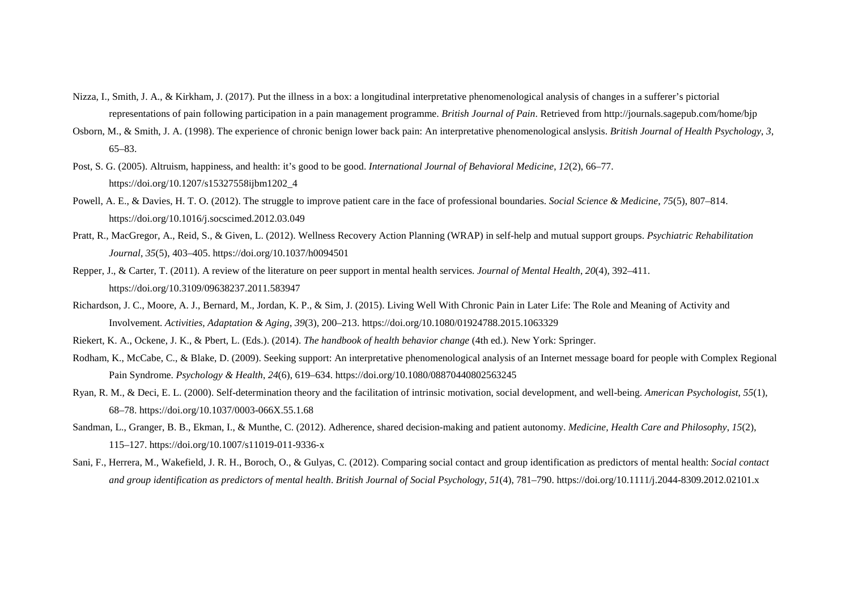- Nizza, I., Smith, J. A., & Kirkham, J. (2017). Put the illness in a box: a longitudinal interpretative phenomenological analysis of changes in a sufferer's pictorial representations of pain following participation in a pain management programme. *British Journal of Pain*. Retrieved from http://journals.sagepub.com/home/bjp
- Osborn, M., & Smith, J. A. (1998). The experience of chronic benign lower back pain: An interpretative phenomenological anslysis. *British Journal of Health Psychology*, *3*, 65–83.
- Post, S. G. (2005). Altruism, happiness, and health: it's good to be good. *International Journal of Behavioral Medicine*, *12*(2), 66–77. https://doi.org/10.1207/s15327558ijbm1202\_4
- Powell, A. E., & Davies, H. T. O. (2012). The struggle to improve patient care in the face of professional boundaries. *Social Science & Medicine*, *75*(5), 807–814. https://doi.org/10.1016/j.socscimed.2012.03.049
- Pratt, R., MacGregor, A., Reid, S., & Given, L. (2012). Wellness Recovery Action Planning (WRAP) in self-help and mutual support groups. *Psychiatric Rehabilitation Journal*, *35*(5), 403–405. https://doi.org/10.1037/h0094501
- Repper, J., & Carter, T. (2011). A review of the literature on peer support in mental health services. *Journal of Mental Health*, *20*(4), 392–411. https://doi.org/10.3109/09638237.2011.583947
- Richardson, J. C., Moore, A. J., Bernard, M., Jordan, K. P., & Sim, J. (2015). Living Well With Chronic Pain in Later Life: The Role and Meaning of Activity and Involvement. *Activities, Adaptation & Aging*, *39*(3), 200–213. https://doi.org/10.1080/01924788.2015.1063329
- Riekert, K. A., Ockene, J. K., & Pbert, L. (Eds.). (2014). *The handbook of health behavior change* (4th ed.). New York: Springer.
- Rodham, K., McCabe, C., & Blake, D. (2009). Seeking support: An interpretative phenomenological analysis of an Internet message board for people with Complex Regional Pain Syndrome. *Psychology & Health*, *24*(6), 619–634. https://doi.org/10.1080/08870440802563245
- Ryan, R. M., & Deci, E. L. (2000). Self-determination theory and the facilitation of intrinsic motivation, social development, and well-being. *American Psychologist*, *55*(1), 68–78. https://doi.org/10.1037/0003-066X.55.1.68
- Sandman, L., Granger, B. B., Ekman, I., & Munthe, C. (2012). Adherence, shared decision-making and patient autonomy. *Medicine, Health Care and Philosophy*, *15*(2), 115–127. https://doi.org/10.1007/s11019-011-9336-x
- Sani, F., Herrera, M., Wakefield, J. R. H., Boroch, O., & Gulyas, C. (2012). Comparing social contact and group identification as predictors of mental health: *Social contact and group identification as predictors of mental health*. *British Journal of Social Psychology*, *51*(4), 781–790. https://doi.org/10.1111/j.2044-8309.2012.02101.x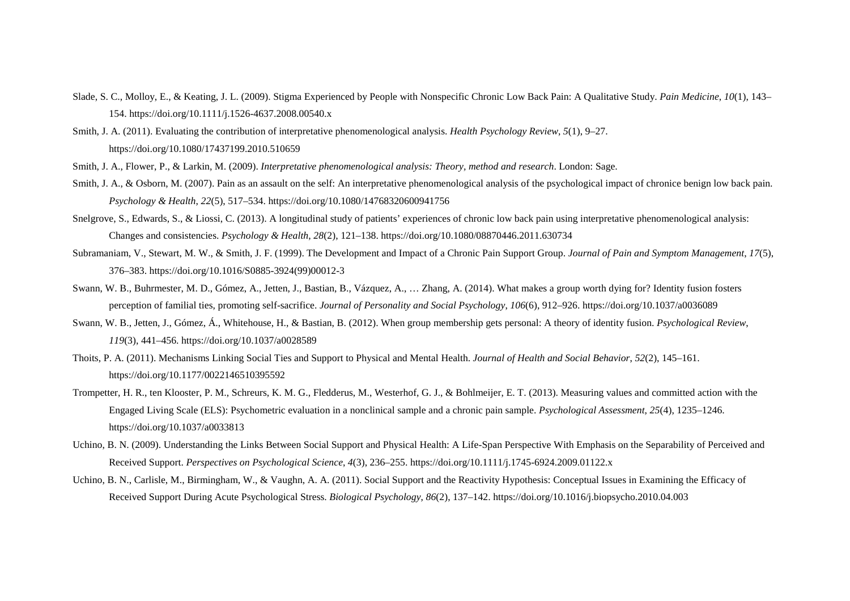- Slade, S. C., Molloy, E., & Keating, J. L. (2009). Stigma Experienced by People with Nonspecific Chronic Low Back Pain: A Qualitative Study. *Pain Medicine*, *10*(1), 143– 154. https://doi.org/10.1111/j.1526-4637.2008.00540.x
- Smith, J. A. (2011). Evaluating the contribution of interpretative phenomenological analysis. *Health Psychology Review*, *5*(1), 9–27. https://doi.org/10.1080/17437199.2010.510659
- Smith, J. A., Flower, P., & Larkin, M. (2009). *Interpretative phenomenological analysis: Theory, method and research*. London: Sage.
- Smith, J. A., & Osborn, M. (2007). Pain as an assault on the self: An interpretative phenomenological analysis of the psychological impact of chronice benign low back pain. *Psychology & Health*, *22*(5), 517–534. https://doi.org/10.1080/14768320600941756
- Snelgrove, S., Edwards, S., & Liossi, C. (2013). A longitudinal study of patients' experiences of chronic low back pain using interpretative phenomenological analysis: Changes and consistencies. *Psychology & Health*, *28*(2), 121–138. https://doi.org/10.1080/08870446.2011.630734
- Subramaniam, V., Stewart, M. W., & Smith, J. F. (1999). The Development and Impact of a Chronic Pain Support Group. *Journal of Pain and Symptom Management*, *17*(5), 376–383. https://doi.org/10.1016/S0885-3924(99)00012-3
- Swann, W. B., Buhrmester, M. D., Gómez, A., Jetten, J., Bastian, B., Vázquez, A., … Zhang, A. (2014). What makes a group worth dying for? Identity fusion fosters perception of familial ties, promoting self-sacrifice. *Journal of Personality and Social Psychology*, *106*(6), 912–926. https://doi.org/10.1037/a0036089
- Swann, W. B., Jetten, J., Gómez, Á., Whitehouse, H., & Bastian, B. (2012). When group membership gets personal: A theory of identity fusion. *Psychological Review*, *119*(3), 441–456. https://doi.org/10.1037/a0028589
- Thoits, P. A. (2011). Mechanisms Linking Social Ties and Support to Physical and Mental Health. *Journal of Health and Social Behavior*, *52*(2), 145–161. https://doi.org/10.1177/0022146510395592
- Trompetter, H. R., ten Klooster, P. M., Schreurs, K. M. G., Fledderus, M., Westerhof, G. J., & Bohlmeijer, E. T. (2013). Measuring values and committed action with the Engaged Living Scale (ELS): Psychometric evaluation in a nonclinical sample and a chronic pain sample. *Psychological Assessment*, *25*(4), 1235–1246. https://doi.org/10.1037/a0033813
- Uchino, B. N. (2009). Understanding the Links Between Social Support and Physical Health: A Life-Span Perspective With Emphasis on the Separability of Perceived and Received Support. *Perspectives on Psychological Science*, *4*(3), 236–255. https://doi.org/10.1111/j.1745-6924.2009.01122.x
- Uchino, B. N., Carlisle, M., Birmingham, W., & Vaughn, A. A. (2011). Social Support and the Reactivity Hypothesis: Conceptual Issues in Examining the Efficacy of Received Support During Acute Psychological Stress. *Biological Psychology*, *86*(2), 137–142. https://doi.org/10.1016/j.biopsycho.2010.04.003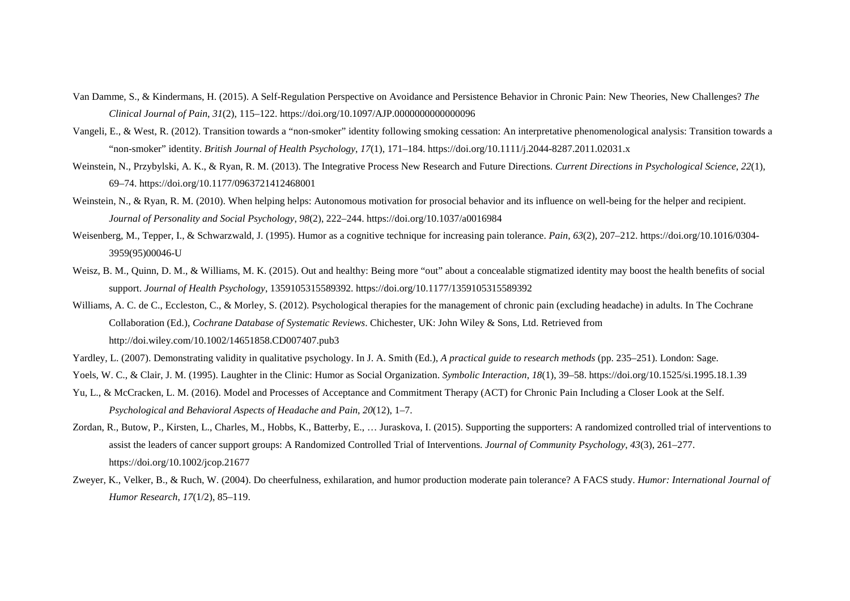- Van Damme, S., & Kindermans, H. (2015). A Self-Regulation Perspective on Avoidance and Persistence Behavior in Chronic Pain: New Theories, New Challenges? *The Clinical Journal of Pain*, *31*(2), 115–122. https://doi.org/10.1097/AJP.0000000000000096
- Vangeli, E., & West, R. (2012). Transition towards a "non-smoker" identity following smoking cessation: An interpretative phenomenological analysis: Transition towards a "non-smoker" identity. *British Journal of Health Psychology*, *17*(1), 171–184. https://doi.org/10.1111/j.2044-8287.2011.02031.x
- Weinstein, N., Przybylski, A. K., & Ryan, R. M. (2013). The Integrative Process New Research and Future Directions. *Current Directions in Psychological Science*, *22*(1), 69–74. https://doi.org/10.1177/0963721412468001
- Weinstein, N., & Ryan, R. M. (2010). When helping helps: Autonomous motivation for prosocial behavior and its influence on well-being for the helper and recipient. *Journal of Personality and Social Psychology*, *98*(2), 222–244. https://doi.org/10.1037/a0016984
- Weisenberg, M., Tepper, I., & Schwarzwald, J. (1995). Humor as a cognitive technique for increasing pain tolerance. *Pain*, *63*(2), 207–212. https://doi.org/10.1016/0304- 3959(95)00046-U
- Weisz, B. M., Quinn, D. M., & Williams, M. K. (2015). Out and healthy: Being more "out" about a concealable stigmatized identity may boost the health benefits of social support. *Journal of Health Psychology*, 1359105315589392. https://doi.org/10.1177/1359105315589392
- Williams, A. C. de C., Eccleston, C., & Morley, S. (2012). Psychological therapies for the management of chronic pain (excluding headache) in adults. In The Cochrane Collaboration (Ed.), *Cochrane Database of Systematic Reviews*. Chichester, UK: John Wiley & Sons, Ltd. Retrieved from http://doi.wiley.com/10.1002/14651858.CD007407.pub3
- Yardley, L. (2007). Demonstrating validity in qualitative psychology. In J. A. Smith (Ed.), *A practical guide to research methods* (pp. 235–251). London: Sage.
- Yoels, W. C., & Clair, J. M. (1995). Laughter in the Clinic: Humor as Social Organization. *Symbolic Interaction*, *18*(1), 39–58. https://doi.org/10.1525/si.1995.18.1.39
- Yu, L., & McCracken, L. M. (2016). Model and Processes of Acceptance and Commitment Therapy (ACT) for Chronic Pain Including a Closer Look at the Self. *Psychological and Behavioral Aspects of Headache and Pain*, *20*(12), 1–7.
- Zordan, R., Butow, P., Kirsten, L., Charles, M., Hobbs, K., Batterby, E., … Juraskova, I. (2015). Supporting the supporters: A randomized controlled trial of interventions to assist the leaders of cancer support groups: A Randomized Controlled Trial of Interventions. *Journal of Community Psychology*, *43*(3), 261–277. https://doi.org/10.1002/jcop.21677
- Zweyer, K., Velker, B., & Ruch, W. (2004). Do cheerfulness, exhilaration, and humor production moderate pain tolerance? A FACS study. *Humor: International Journal of Humor Research*, *17*(1/2), 85–119.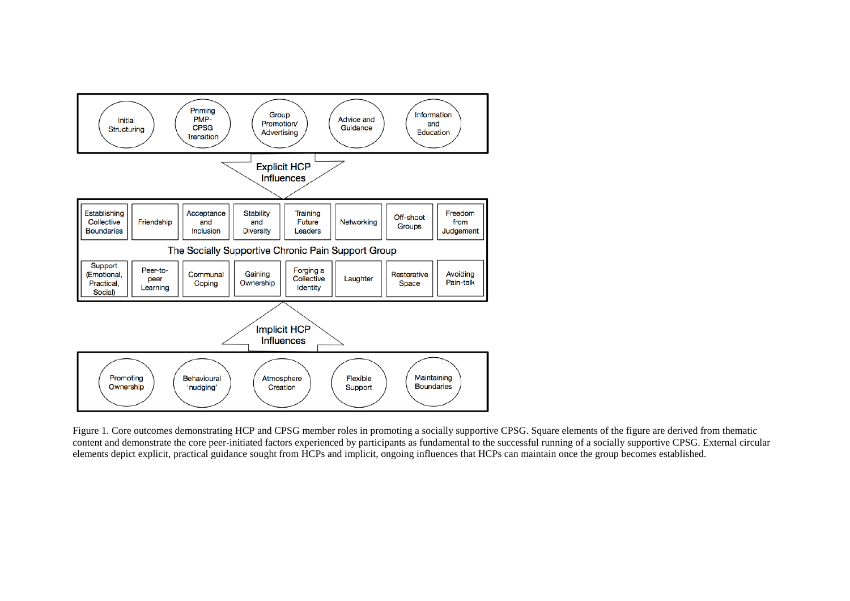

Figure 1. Core outcomes demonstrating HCP and CPSG member roles in promoting a socially supportive CPSG. Square elements of the figure are derived from thematic content and demonstrate the core peer-initiated factors experienced by participants as fundamental to the successful running of a socially supportive CPSG. External circular elements depict explicit, practical guidance sought from HCPs and implicit, ongoing influences that HCPs can maintain once the group becomes established.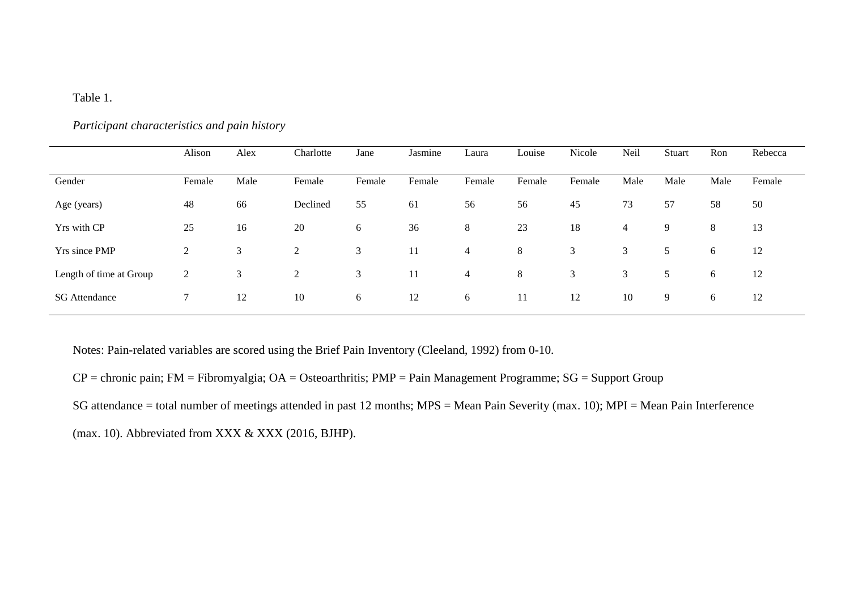## Table 1.

## *Participant characteristics and pain history*

| Alison       | Alex | Charlotte      | Jane   | Jasmine | Laura          | Louise | Nicole | Neil | Stuart | Ron  | Rebecca |
|--------------|------|----------------|--------|---------|----------------|--------|--------|------|--------|------|---------|
| Female       | Male | Female         | Female | Female  | Female         | Female | Female | Male | Male   | Male | Female  |
| 48           | 66   | Declined       | 55     | 61      | 56             | 56     | 45     | 73   | 57     | 58   | 50      |
| 25           | 16   | 20             | 6      | 36      | 8              | 23     | 18     | 4    | 9      | 8    | 13      |
| 2            | 3    | $\overline{2}$ | 3      | 11      | $\overline{4}$ | 8      | 3      | 3    | 5      | 6    | 12      |
| 2            | 3    | $\overline{2}$ | 3      | 11      | $\overline{4}$ | 8      | 3      | 3    | 5      | 6    | 12      |
| $\mathbf{r}$ | 12   | 10             | 6      | 12      | 6              | 11     | 12     | 10   | 9      | 6    | 12      |
|              |      |                |        |         |                |        |        |      |        |      |         |

Notes: Pain-related variables are scored using the Brief Pain Inventory (Cleeland, 1992) from 0-10.

CP = chronic pain; FM = Fibromyalgia; OA = Osteoarthritis; PMP = Pain Management Programme; SG = Support Group

SG attendance = total number of meetings attended in past 12 months; MPS = Mean Pain Severity (max. 10); MPI = Mean Pain Interference

(max. 10). Abbreviated from XXX & XXX (2016, BJHP).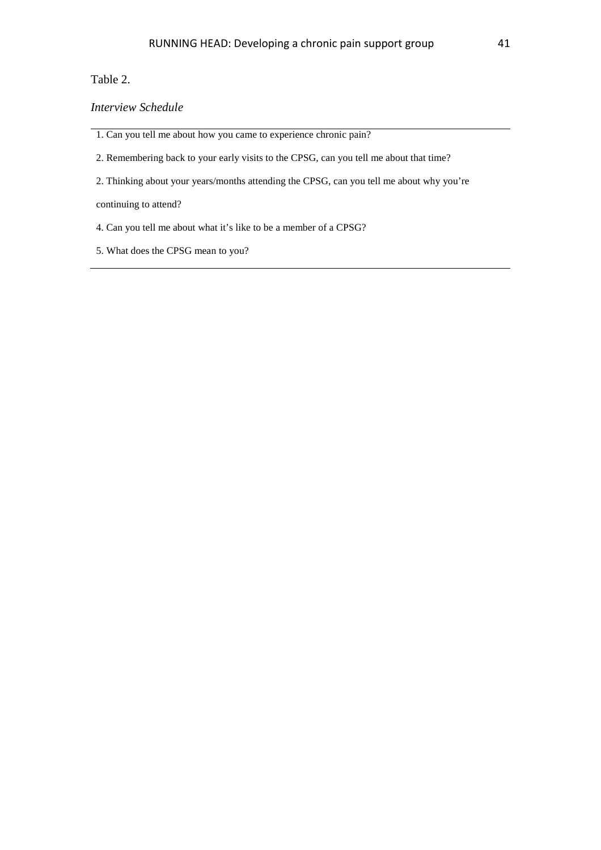## Table 2.

# *Interview Schedule*

1. Can you tell me about how you came to experience chronic pain?

- 2. Remembering back to your early visits to the CPSG, can you tell me about that time?
- 2. Thinking about your years/months attending the CPSG, can you tell me about why you're

continuing to attend?

- 4. Can you tell me about what it's like to be a member of a CPSG?
- 5. What does the CPSG mean to you?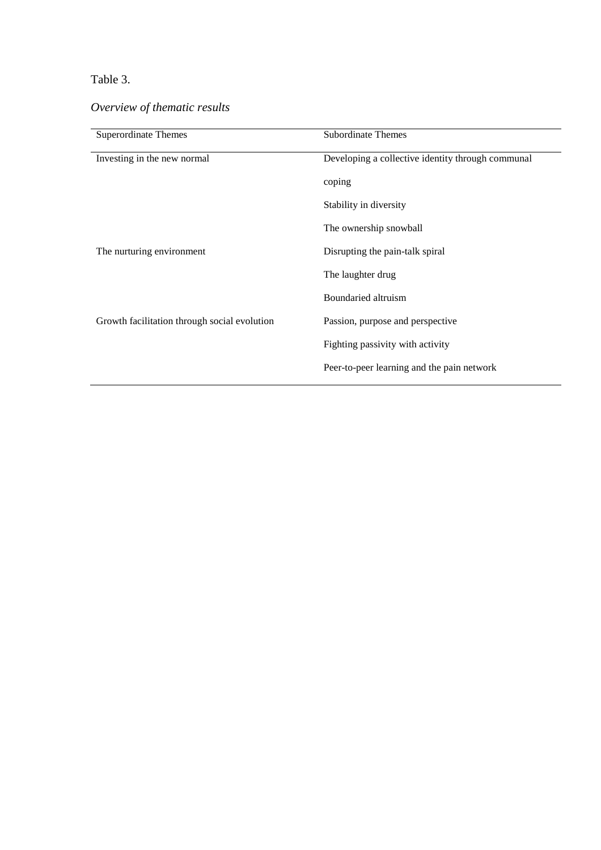# Table 3.

*Overview of thematic results*

| Superordinate Themes                         | <b>Subordinate Themes</b>                         |
|----------------------------------------------|---------------------------------------------------|
| Investing in the new normal                  | Developing a collective identity through communal |
|                                              | coping                                            |
|                                              | Stability in diversity                            |
|                                              | The ownership snowball                            |
| The nurturing environment                    | Disrupting the pain-talk spiral                   |
|                                              | The laughter drug                                 |
|                                              | Boundaried altruism                               |
| Growth facilitation through social evolution | Passion, purpose and perspective                  |
|                                              | Fighting passivity with activity                  |
|                                              | Peer-to-peer learning and the pain network        |
|                                              |                                                   |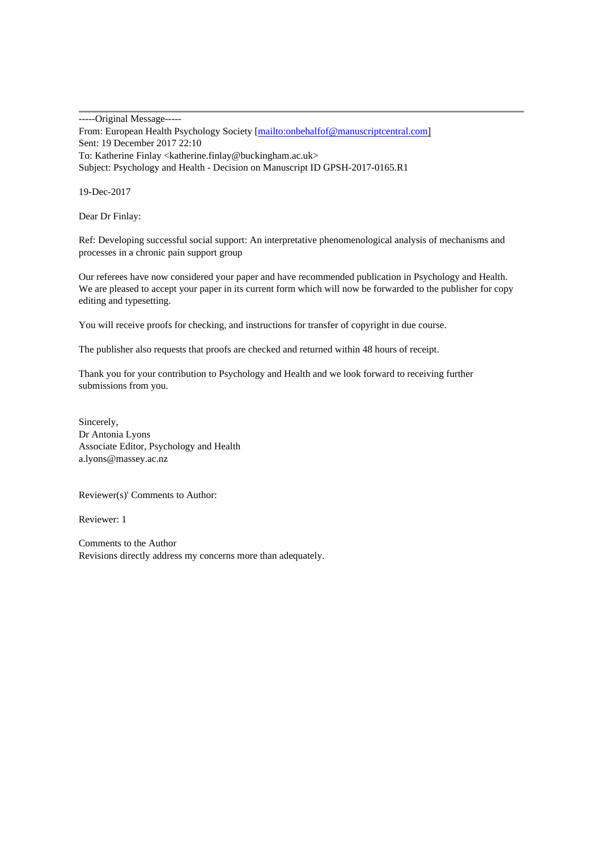-----Original Message-----

From: European Health Psychology Society [mailto:onbehalfof@manuscriptcentral.com] Sent: 19 December 2017 22:10 To: Katherine Finlay <katherine.finlay@buckingham.ac.uk> Subject: Psychology and Health - Decision on Manuscript ID GPSH-2017-0165.R1

19-Dec-2017

Dear Dr Finlay:

Ref: Developing successful social support: An interpretative phenomenological analysis of mechanisms and processes in a chronic pain support group

Our referees have now considered your paper and have recommended publication in Psychology and Health. We are pleased to accept your paper in its current form which will [now be forwarded to the publisher for copy](https://www.buckingham.ac.uk/research/chr) editing and typesetting.

You will receive proofs for checking, and instructions for transfer of copyright in due course.

The publisher also requests that proofs are ch[ecked and returned within 48 hours of recei](mailto:onbehalfof@manuscriptcentral.com)pt.

Thank you for your contribution to Psychology and Health and we look forward to receiving further submissions from you.

Sincerely, Dr Antonia Lyons Associate Editor, Psychology and Health a.lyons@massey.ac.nz

Reviewer(s)' Comments to Author:

Reviewer: 1

Comments to the Author Revisions directly address my concerns more than adequately.